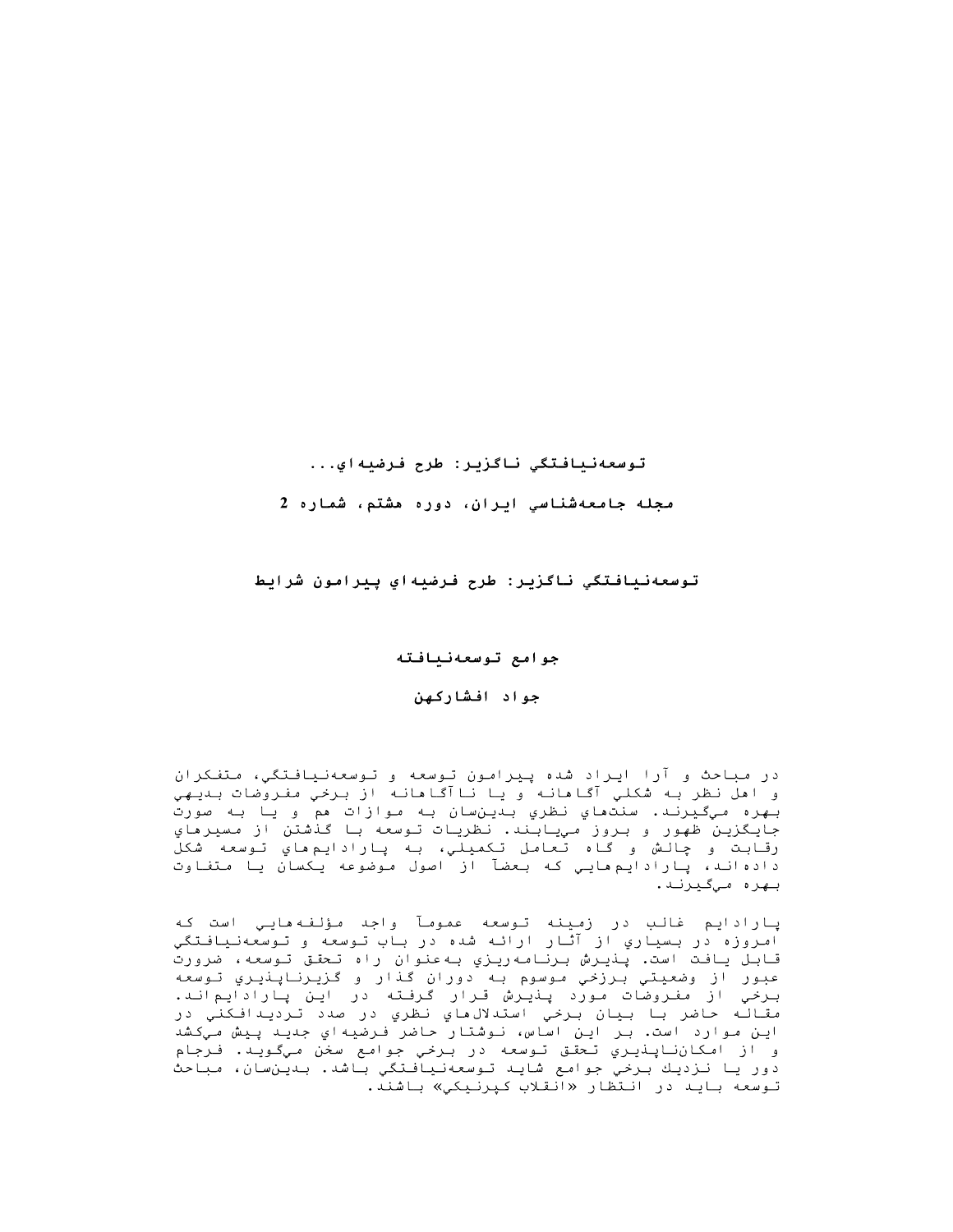# سعهنيافتكي ناكزير: طرح فرضيهاي...

مجله جامعهشناسی ایران، دوره مشتم، شماره 2

توسعهنيافتگي ناگزير: طرح فرضيه!ي...<br>مجله جامعهشناسي ايران، دوره مشتم، شماره 2<br>توسعهنيافتگي ناگزير: طرح فرضيه!ي پيرامون شراي<br>جوامع توسعهنيافته توسعهنيافتگي ناگزير: طرح فرضيهاي پيرامون شرايط

جوامع توسعهنيافته

جواد افشارکهن

در مباحث و آرا ایراد شده پیرامون توسعه و توسعهنیافتگی، متفکران و اهل نظر به شكلي آگاهانه و يا ناآگاهانه از برخي مفروضات بديهي بهره ميگيرنـد. سنتماي نظري بـدينسان بـه موازات هم و يـا بـه صورت جايگزين ظهور و بروز مييابند. نظريات توسعه با گذشتن از مسيرهاي رقابت و چالش و گاه تعامل تكميلي، به پارادايم هاي توسعه شكل دادهاند، پارادایم هایی که بعضآ از اصول موضوعه یکسان یا متفاوت بهره میگیرند.

يارادايم غالب در زمينه توسعه عمومآ واجد مؤلفهمايي است كه امروزه در بسياري از آثار ارائه شده در باب توسعه و توسعهنيافتگي قابل يافت است. پنيرش برنامهريزي بهعنوان راه تحقق توسعه، ضرورت عبور از وضعيتي برزخي موسوم به دوران گذار و گزيرناپذيري توسعه برخي از مفروضات مورد پنيرش قرار گرفته در اين پارادايماند. مقاله حاضر با بيان برخي استدلالءاي نظري در صدد ترديدافكني در اين موارد است. بر اين اساس، نـوشتار حاضر فـرضيهاي جديـد پيش مـيكشد و از امكانناپنديري تحقق توسعه در برخي جوامع سخن ميگويد. فرجام دور يا نزديك برخي جوامع شايد توسعهنيافتگي باشد. بدينسان، مباحث توسعه بايد در انتظار «انقلاب كپرنيكي» باشند.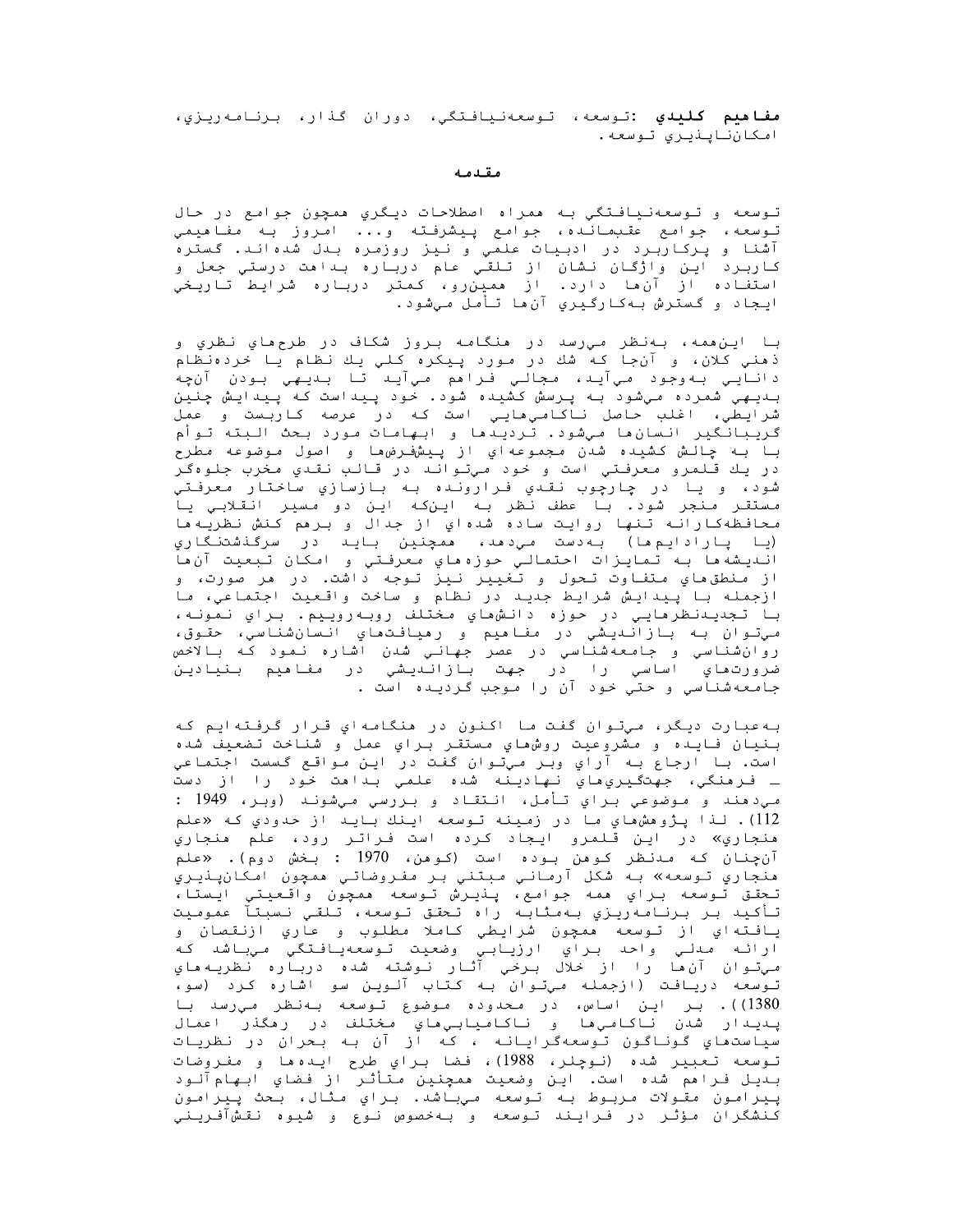**مفاهيم كليدي :**توسعه، توسعهنيافتگي، دوران گذار، برنامهريزي، امكان ناينديري توسعه.

#### مقدمه

توسعه و توسعهنیافتگي به ممراه اصطلاحات ديگري ممچون جوامع در حال تـوسعه، جوامع عقـبمـانـده، جوامع پـيشرفـته و... امروز بـه مفـاهيمي آشنا و پرکاربرد در ادبیات علمي و نیز روزمره بدل شدهاند. گستره کاربرد اين واژگان نشان از تلقي عام درباره بداهت درستي جعل و استفاده از آن ها دارد. از ممین رو، کمتر درباره شرایط تاریخی ايجاد و گسترش بهکارگيري آن،ا تأمل ميشود.

با اين،همه، بهنظر ميرسد در هنگامه بروز شكاف در طرح،هاي نظري و ذهني كلان، و آنجا كه شك در مورد پيكره كلي يك نظام يا خردهنظام دانايي بهوجود ميآيد، مجالي فراهم ميآيد تا بديهي بودن آنچه بىديىھى شمردە مىشود بە پرسش كشيدە شود. خود پيداست كە پيدايش چنين شرايطي، اغلب حاصل ناكامي،ايي است كه در عرصه كاربست و عمل گریبانگیر انسان،ا میشود. تردیدها و ابهامات مورد بحث البته توأم بـا بـه چـالـش كـشيـده شدن مـجموعه١ي از پـيشفـرضٯما و اصول مـوضوعه مطرح در يك قـلمرو معرفـتي است و خود ميتوانـد در قـالـب نقـدي مخرب جلوهگر شود، و يا در چارچوب نقدي فرارونده به بازسازي ساختار معرفتي مستقـر مـنجر شود. بـا عطف نـظر بـه ايـن٤ه ايـن دو مسيـر انـقـلابـي يـا محافظهکارانه تنها روایت ساده شدهاي از جدال و برهم کنش نظریهها (يا پارادايم ها) به دست مي دهد، ممچنين بايد در سرگنشتنگاري انـديـشه ها بـه تـمـايـزات احـتمـالـي حوزه هاي مـعرفـتـي و امـكان تـبعيت آن ها از منطق هاي متفاوت تحول و تغيير نيز توجه داشت. در مر صورت، و ازجمله با پیدایش شرایط جدید در نظام و ساخت واقعیت اجتماعي، ما با تجديدنظرمايي در حوزه دانش،اي مختلف روبهروييم. براي نمونه، مي توان به بازانديشي در مفاميم و رميافتهاي انسان شناسي، حقوق، روانشناسی و جامعهشناسی در عصر جهانی شدن اشاره نمود که بالاخص ضرورتهاي اساسي را در جهت بازانديشي در مفاهيم بنيادين جامعهشناسي وحتي خود آن را موجب گرديده است .

به عبارت دیگر، میتوان گفت ما اکنون در منگامه ای قرار گرفته ایم که بنيان فايده و مشروعيت روشهاي مستقر براي عمل و شناخت تضعيف شده است. با ارجاع به آراي وبر ميتوان گفت در اين مواقع گسست اجتماعي ـ فـرهنگي، جهتگيري،اي نـهاديـنه شده علمي بـداهت خـود را از دست مي دهند و موضوعي براي تأمل، انتقاد و بررسي ميشوند (وبر، 1949 : 112). لذا يژوهشهاي ما در زمينه توسعه اينك بايد از حدودي كه «علم هنجاري» در اين قلمرو ايجاد كرده است فراتر رود، علم هنجاري آن جنان که مدنظر کوهن بوده است (کوهن، 1970 : بخش دوم). «علم هنجاري تـوسعه» بـه شكل آرماني مبتني بر مفروضاتي همچون امكانپـذيري تحقق توسعه براي همه جوامع، پنيرش توسعه همچون واقعيتي ايستا، تأكيد بر برنامه٫يزي بهمثابه راه تحقق توسعه، تلقي نسبتآ عموميت يافـتهاي از تـوسعه همچون شرايطي كاملا مطلوب و عاري ازنـقصان و ارائه مدلي واحد براي ارزيابي وضعيت توسعهيافتگي ميباشد كه مـيتـوان آنءا را از خلال بـرخي آثـار نـوشته شده دربـاره نظريـهماي توسعه دریافت (ازجمله میتوان به کتاب آلوین سو اشاره کرد (سو، 1380)). بر این اساس، در محدوده موضوع توسعه بهنظر می رسد با پـديـدار شدن نـاكـامـيِهـا و نـاكـامـيـابـيِهـاي مـختـلف در رهگذر اعمـال سياستماي گوناگون توسعهگرايانه ، كه از آن به بحران در نظريات توسعه تعبير شده (نوچلر، 1988)، فضا براي طرح ايده ها و مفروضات بديل فرامم شده است. اين وضعيت ممچنين متأثر از فضاي ابهامآلود پيرامون مقولات مربوط به توسعه میباشد. براي مثال، بحث پيرامون كنشگران مؤثر در فرايند توسعه و بهخصوص نوع و شيوه نقشآفريني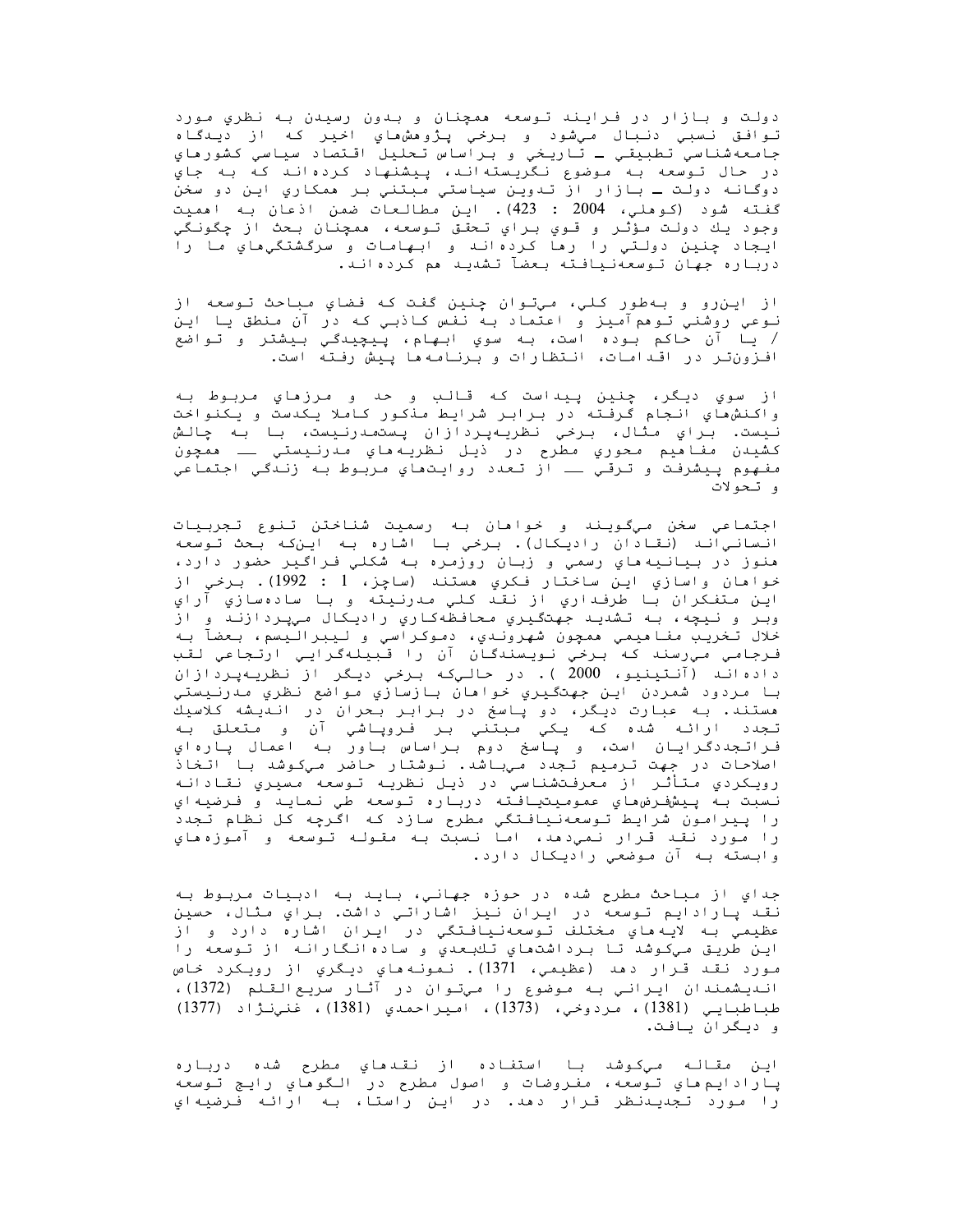دولت و بازار در فرايند توسعه ممچنان و بدون رسيدن به نظري مورد توافق نسبي دنبال ميشود و برخي پژوهشهاي اخير كه از ديدگاه جامعهشناسي تطبيقي ـ تاريخي و براساس تحليل اقتصاد سياسي كشورهاي در حال توسعه به موضوع نگريستهاند، پيشنهاد كردهاند كه به جاي دوگانه دولت ـ بازار از تدوين سياستي مبتني بر همکاري اين دو سخن گفته شود (کوملی، 2004 : 423). این مطالعات ضمن اذعان به اممیت وجود يك دولت مؤثر و قوي براي تحقق توسعه، ممچنان بحث از چگونگي ايجاد چنين دولتي را رها كردهاند و ابهامات و سرگشتگيهاي ما را درباره جهان توسعهنیافته بعضآ تشدید هم کردهاند.

از این٫رو و بهطور کلي، ميتوان چنین گفت که فضاي مباحث توسعه از نـوعي روشني تـوهمآمـِز و اعتماد بـه نفس کـاذبـي کـه در آن منطق يـا ايـن / يا آن حاكم بوده است، به سوي ابهام، پيچيدگي بيشتر و تواضع افزون تر در اقدامات، انتظارات و برنامه ها پیش رفته است.

از سوي ديگر، چنين پيداست كه قالب و حد و مرزماي مربوط به واكنشهاي انجام گرفته در برابر شرايط منكور كاملا يكدست و يكنواخت نيست. براي مثال، برخي نظريهپردازان پستمدرنيست، با به چالش كشيدن مفاهيم محوري مطرح در ذيل نظريههاي مدرنيستي ــ ممچون مفهوم پيشرفت و ترقي ـــ از تعدد روايتهاي مربوط به زندگي اجتماعي و تحولات

اجتماعي سخن ميگويند و خواهان به رسميت شناختن تنوع تجربيات انسانياند (نقادان راديكال). برخي با اشاره به اينكه بحث توسعه هنوز در بيانيه ماي رسمي و زبان روزمره به شکلي فراگير حضور دارد، خواهان واسازي اين ساختار فكري هستند (ساچز، 1 : 1992). برخي از<br>اين متفكران با طرفداري از نقد كلي مدرنيته و با سادهسازي آراي وبر و نیچه، به تشدید جهتگیري محافظهکاري رادیکال میپردازند و از خلال تخريب مفاهيمي همچون شهروندي، دموكراسي و ليبراليسم، بعضآ به فرجامي ميرسند كه برخي نويسندگان آن را قبيلهگرايي ارتجاعي لقب دادهاند (آنتينيو، 2000 ). در حاليکه برخي ديگر از نظريهپردازان با مردود شمردن اين جهتگيري خواهان بازسازي مواضع نظري مدرنيستي مستند. به عبارت دیگر، دو پاسخ در برابر بحران در اندیشه کلاسیك تـجدد ارائـه شده کـه یـکي مـبـتـني بـر فـروپـاشي آن و مـتعلق بـه<br>فـراتـجددگـرایـان است، و پـاسخ دوم بـراساس بـاور بـه اعمال پـارهاي اصلاحات در جهت ترمیم تجدد میباشد. نوشتار حاضر میکوشد با اتخاذ رويكردي متأثر از معرفتشناسي در ذيل نظريه توسعه مسيري نقادانه نسبت بـهُ پـيشفـرض،هاي عمومـيـتيـافـته دربـاره تـوسعه طي نـمايـد و فـرضيـهاي را پیرامون شرایط توسعهنیافتگي مطرح سازد که اگرچه کل نظام تجدد را مورد نقد قرار نمي دهد، اما نسبت به مقوله توسعه و آموزه هاي وابسته به آن موضعي راديكال دارد.

جداي از مباحث مطرح شده در حوزه جهاني، بايد به ادبيات مربوط به نقد پارادایم توسعه در ایران نیز اشاراتی داشت. برای مثال، حسین عظيمي بـه لايـه هاي مـختلف تـوسعهنـيافـتگي در ايـران اشاره دارد و از اين طريق ميكوشد تا برداشتهاي تكبعدي و سادهانگارانه از توسعه را مورد نقد قـرار دهد (عظيمي، 1371). نـمونـه هاي ديـگري از رويـکرد خاص انـديـشمندان ايـرانـي بـه مـوضوع را مـيتـوان در آثـار سريـعالـقـلم (1372)، طباطبايي (1381)، مردوخي، (1373)، اميراحمدي (1381)، غنينڙاد (1377) و ديگران يافت.

اين مقاله ميكوشد با استفاده از نقدماي مطرح شده درباره پارادايم هاي توسعه، مفروضات و اصول مطرح در الگوهاي رايج توسعه را مورد تجديـدنظر قـرار دهد. در ايـن راستا، بـه ارائـه فـرضيهاي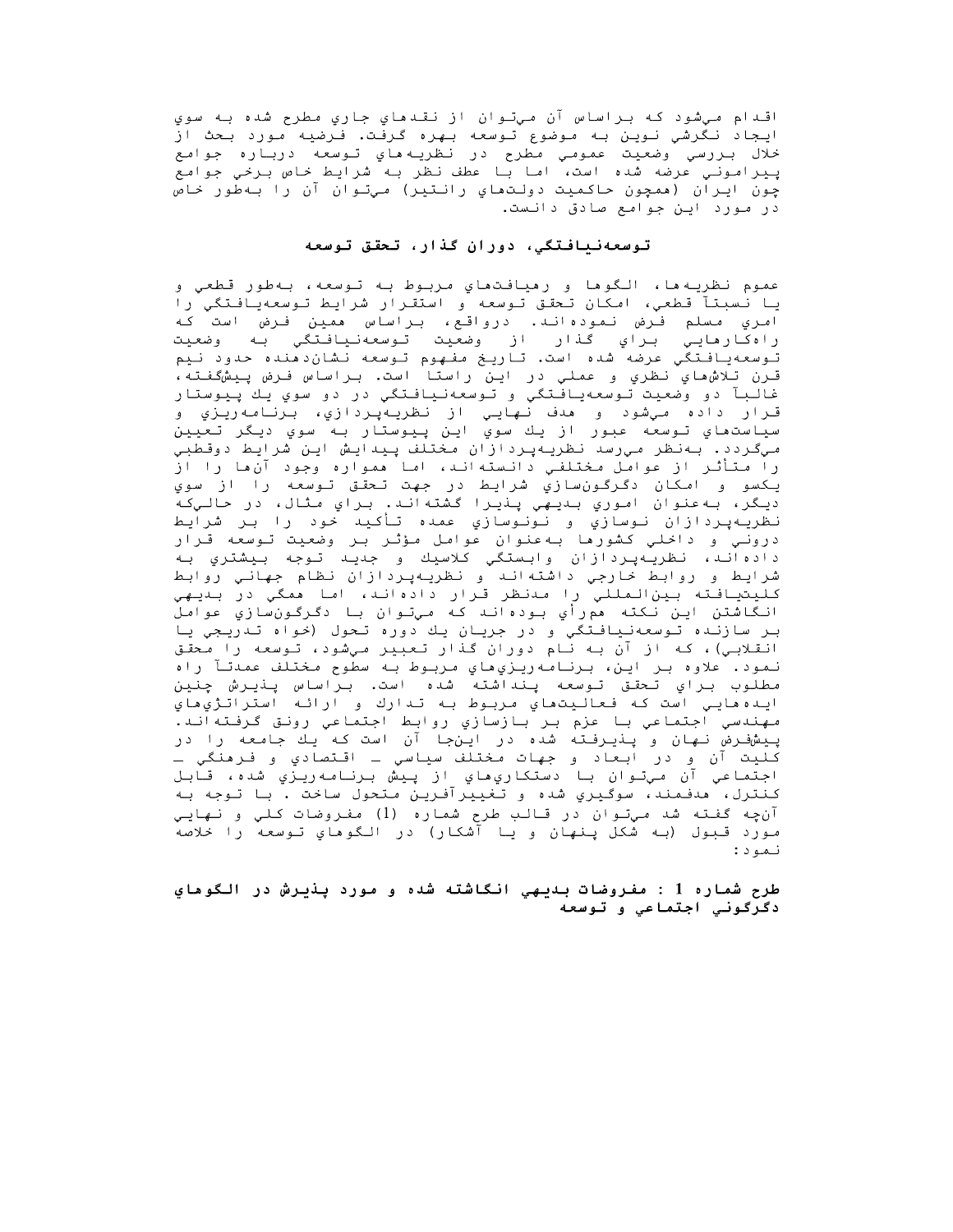اقـدام مـيشود کـه بـراساس آن مـيتـوان از نقـدهاي جاري مطرح شده بـه سوي ایجاد نگرشي نوین به موضوع توسعه بهره گرفت. فرضیه مورد بحث از خلال بررسي ًوضعيت عمومي مطرح در نظريه ماي توسعه درباره جوامع<br>پيراموني عرضه شده است، اما با عطف نظر به شرايط خاص برخي جوامع چون ایران (ممچون حاکمیت دولتماي رانتیر) میتوان آن را بهطور خاص در مورد این جوامع صادق دانست.

### توسعهنیافتگی، دوران گذار، تحقق توسعه

عموم نظريه ها، الگوها و رهيافت،هاي مربوط به توسعه، بهطور قطعي و يا نسبتآ قطعي، امكان تحقق توسعه و استقرار شرايط توسعهيافتگي را امري مسلم فرض نمودهاند. درواقع، براساس ممين فرض است كه راهکارهايي براي گذار از وضعيت تـوسعهنـيافـتگي بـه وضعيت توسعهيافتگي عرضه شده است. تاريخ مفهوم توسعه نشان‹هنده حدود نيم قـرن تِـلاش،هاي نـظري و عملي در ايـن راستا است. بـراساس فـرض پـيشگفـتـه، غالبآ دو وضعيت توسعهيافتگي و توسعهنيافتگي در دو سوي يك پيوستار قـرار داده مـيشود و هدف نـهايـي از نظريـهپـردازي، بـرنـامـهريـزي و سياستھاي تـوسعه عبور از يك سوي اين پـيوستار بـه سوي ديـگر تـعيين ميگردد. بهنظر ميرسد نظريهپردازان مختلف پيدايش اين شرايط دوقطبي را متأثر از عوامل مختلفي دانسته اند، اما ممواره وجود آن ما را از يكسو و امكان دگرگونسازي شرايط در جهت تحقق توسعه را از سوي ديگر، به عنوان اموري بديهي پنڍرا گشته اند. براي مثال، در حاليکه نظريهپردازان نوسازي و نونوسازي عمده تأكيد خود را بر شرايط دروني و داخلي كشورها بهعنوان عوامل مؤثر بر وضعيت توسعه قرار دادهاند، نظريهپردازان وابستگي كلاسيك و جديد توجه بيشتري به شرايط و روابط خارجي داشتهاند و نظريهپردازان نظام جهاني روابط كليتيافته بينالمللي را مدنظر قرار دادهاند، اما همگي در بديهي انگاشتن اين نکته ممړزأي بودهاند که ميتوان با دگرگونسازي عوامل بر سازنده توسعهنيافتگي و در جريان يك دوره تحول (خواه تدريجي يا انقلابـي)، که از آن بـه نـام دوران گذار تعبیر ميشود، توسعه را محقق نمود. علاوه بر اين، برنامه<code>ری</code>زيıهاي مربوط به سطوح مختلف عمدتآ راه مطلوب براي تحقق توسعه پنداشته شده است. براساس پنيرش چنين ايـده مايـي است كـه فـعالـيتماي مـربـوط بـه تـدارك و ارائـه استراتـژيماي مهندسي اجتماعي با عزم بر بازسازي روابط اجتماعي رونق گرفتهاند. پیشفرض نهان و پنیرفته شده در اینجا آن است که یك جامعه را در کليت آن و در ابعاد و جهات مختلف سياسي ــ اقتصادي و فـرهنگي ــ اجتماعي آن ميتوان با دستكاريِهاي از پيش برنامهريزي شده، قابل كنترل، مدفمند، سوگيري شده و تغييرآفرين متحول ساخت . با توجه به آنچه گفته شد ميتوان در قالب طرح شماره (1) مفروضات کلي و نهايي مورد قـبول (بـه شکل پـنـهان و يـا آشکار) در الـگوهاي تـوسعه را خلاصه نمود:

طرح شماره 1 : مفروضات بديهي انگاشته شده و مورد پذيرش در الگوهاي دگرگونی اجتماعی و توسعه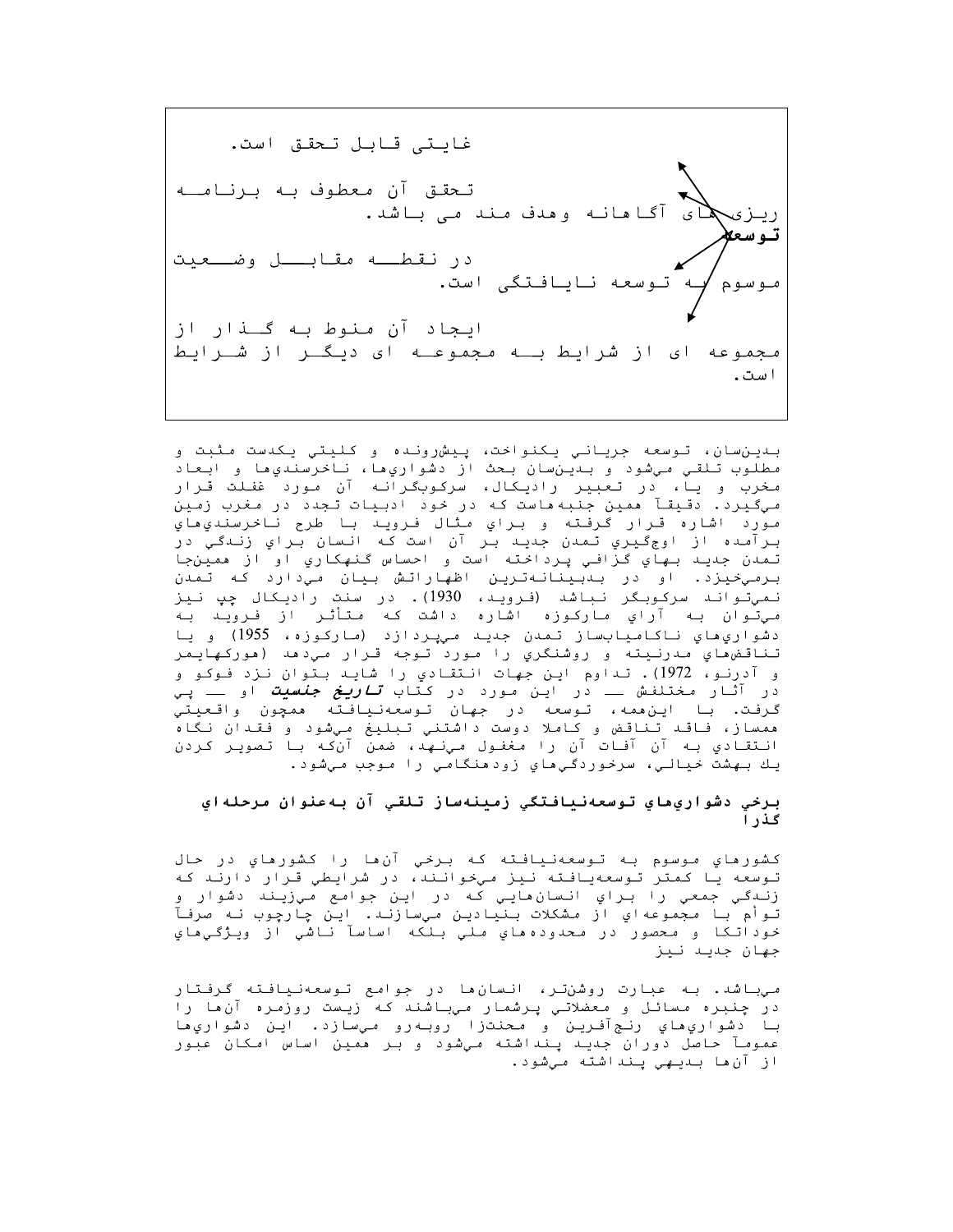غايتي قابل تحقق است. تـحقـق آن مـعطوف بـه بـرنـامــه آگا هانـه وهدف مـند مـی بـاشد. ته سعلا در نقطــه مقـابـــل وضـــعيت توسعه نايافتگى است. ایجاد آن منوط به گــذار از مجموعه ای از شرایط بـه مجموعـه ای دیـگــر از شــرایط است.

بدينسان، توسعه جرياني يكنواحت، پيش ونده و كليتي يكدست مثبت و مطلوب تلقي ميشود و بدينسان بحث از دشواريها، ناخرسنديها و ابعاد مخرب و یا، در تعبیر رادیکال، سرکوبگرانه آن مورد غفلت قرار میگیرد. دقیقآ ممین جنبهماست که در خود ادبیات تجدد در مغرب زمین مورد اشاره قرار گرفته و براي مثال فرويد با طرح ناخرسندي هاي بِـرِ آَصِده از اوج كَـيري تَـمدن جِندِيـد بـر آن است كـه انـسان بـراي زنـدگـي در تمدن جديد بهاي گزافي پرداخته است و احساس گنهکاري او از همينجا برميخيزد. او در بىبينانەترين اظهاراتش بيان مي‹ارد كه تمدن نميتواند سرکوبگر نباشد (فرويد، 1930). در سنت راديکال چپ نيز میتّوان بـه آراي مارکوزه اشاره داشت کـه مـتأثـر از فـرویـد بـه دشواريِهاي ناکاميابساز تمدن جديد میپردازد (مارکوزه، 1955) و يا تناقض»اي مدرنيته و روشنگري را مورد توجه قرار ميدهد (هوركهايمر و آدرنـو، 1972). تـداوم ايـن جمهات انـتقـادي را شايـد بـتوان نـزد فـوكـو و در آثار *م*ختلفش ـــ در این *م*ورد در کتاب *تـاریـغ جنسیت* او ـــ پ*ـي* گرفت. با اين،همه، توسعه در جهان توسعهنيافته همچون واقعيتي ممساز، فاقد تناقض و کاملا دوست داشتنی تبلیغ میشود و فقدان نگاه انـتقـادي بـه آن آفـات آن را مـغفـول مـينـهـد، ضمن آن كـه بـا تـصويـر كـردن يك بهشت خيالي، سرخوردگيهاي زودهنگامي را موجب ميشود.

## برخي دشواريماي توسعهنيافتگي زمينهساز تلقي آن بهعنوان مرحلهاي گذرا

کشورماي موسوم به توسعهنيافته که برخي آن،ا را کشورماي در حال توسعه یا کمتر توسعهیافته نیز میخوانند، در شرایطی قرار دارند که زنـدگـي جمعي را بـراي انـسانھايـي کـه در ايـن جوامع مـيزيـند دشوار و توأم با مجموعهاي از مشكلات بنيادين ميسازند. اين چارچوب نه صرفآ خوداتکا و محصور در محدودهماي ملي بلکه اساسآ ناشي از ويژگيهاي جهان جديـد نـيز

میباشد. به عبارت روشنتر، انسانها در جوامع توسعهنیافته گرفتار در چنبره مسائل و معضلاتیِ پرشمار میباشند که زیست روزمره آنها را با دشواري،هاي رنجآفرين و محنتزا روبهرو ميسازد. اين دشواري،ا عمومآ حاصل دوران جدید پنداشته میشود و بر همین اساس امکان عبور از آنءا بىديىھى پىنداشتە مىشود.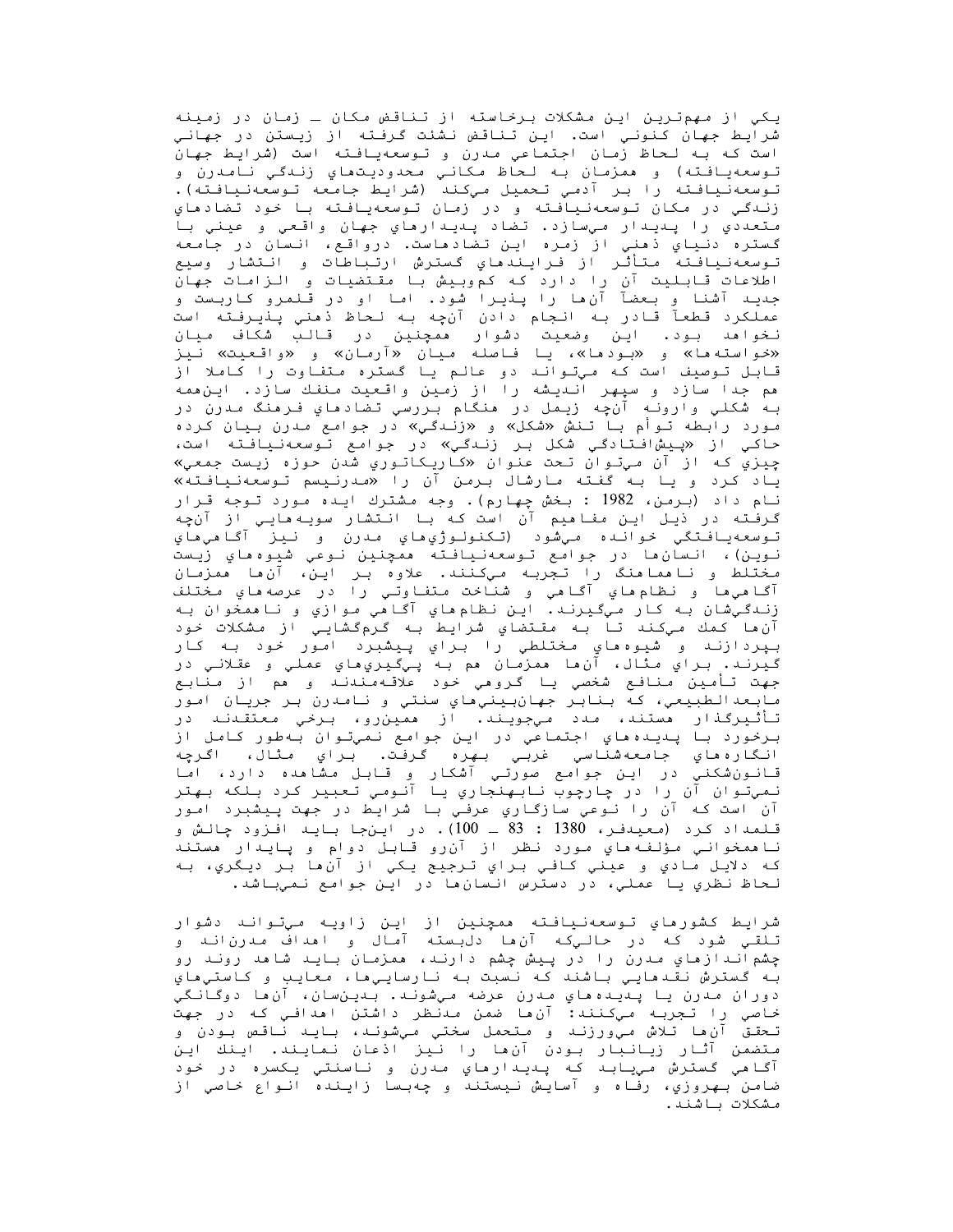یکی از مهمترین این مشکلات برخاسته از تناقض مکان ـ زمان در زمینه شرایط جهان کنونیِ است. این تناقض نشئت گرفته از زیستن در جهانیِ است كه به لحاظ زمان اجتماعي مدرن و توسعهيافته است (شرايط جهان تـوسعهيـافـته) و همزمـان بـه لـحاظ مـكانـي مـحدوديـتماي زنـدگـي نـامـدرن و<br>تـوسعهنـيـافـتـه را بـر آدمـي تـحميـل مـيكـنـد (شرايـط جـامـعه تـوسعهنـيـافـتـه). زنـدگـی در مـکان تـوسعهنـیافـته و در زمـان تـوسعهیـافـته بـا خـود تـضادهای متعددي را پديدار ميسازد. تضاد پديدارهاي جهان واقعي و عيني با گستره دنياي ذهني از زمره اين تضادهاست. درواقع، انسان در جامعه تـوسعهنـيـافـتـه مـتـأثـّر از فـرايـنـدهـاي گـستـرش ارتـبـاطـات و انـتشار وسيع اطلاعات قابلیت آن را دارد که کموبیش با مقتضیات و الزامات جهان جدیـد آشنا و بـعضآ آنِ ها را پـذیـرا شود. امـا او در قـلمرو کـاربـست و عملکرد قطعآ قادر به انجام دادن آنچه به لحاظ ذهنی پنیرفته است نـخواهد بـود. ايـن وضعيت دشوار همچنين ِدر قـالـب شكاف ميـان «خواسته ها» و «بود ها»، یا فاصله میان «آرمان» و «واقعیت» نیز قابل توصيف است كه میتواند دو عالم يا گستره متفاوت را كاملا از مم جدا سازد و سپهر انـدیـشه را از زمـین واقـعیت مـنفـك سازد. ایـن•مه بـه شکلي وارونـه آنچه زيـمل در منگام بـررسي تضادهاي فـرمنگ مـدرن در مورد رابطه تـوأم بـا تـنش «شكل» و «زنـدگـي» در جوامع مـدرن بـيان كـرده حاكي از «پيشافتادگي شكل بر زندگي» در جوامع توسعهنيافته است، چیزي که از آن *مي*توان تحت عنوان «کاريکاتوري شدن حوزه زيست جمعي» یاد کرد و یا به گفته *م*ارشال برمن آن را «*م*درنیسم توسعهنیافته» نام داد (برمن، 1982 : بخش چهارم). وجه مشترك ايده مورد توجه قرار گرفـُته در ذیـل ایـن مفـاهیم آن است کـه بـا انـتشار سویـه مایـي از آنچه تـوسعهيـافـتگي خوانـده ميشود (تـكنولـوژي هاي مـدرن و نـيز آگـاهي هاي نوين)، انسان ها در جوامع توسعهنيافته ممچنين نوعي شيوه هاي زيست مختلط و ناممامنگ را تجربه میکنند. علاوه بر این، آن ها ممزمان . -----<br>آگا هي ها و نظام هاي آگا هي و شناخت متغاوتي را در عرصه هاي مختلف زنـدگـيشان بـه کـار مـيگـيرنـد. ايـن نـظـام هـاي آگـاهـي مـوازي و نـاهمخوان بـه آن،ما كمك ميكند تا بـه مقـتضاي شرايط بـه گرمگشايـي از مشكلات خود بپردازند و شيوههاي مختلطي را براي پيشبرد امور حود به کار<br>گيرند. براي مثال، آنها همزمان هم به پيگيريهاي عملي و عقلاني در جهت تأمين منافع شخصي يا گروهي خود علاقه مندند و هم از منابع مابعدالطبيعي، که بنابر جهانبينيهاي سنتي و نامدرن بر جريان امور تأثیرگذار مستند، مدد میجویند. از ممینcو، برخی معتقدند در برخورد با پديده هاي اجتماعي در اين جوامع نميتوان بهطور كامل از انگارەھاي جامعەشناسي غربي بهرە گرفت. براي مثال، اگرچە قانونشکني در اين جوامع صورتي آشکار و قابل مشامده دارد، اما نمیتوان آن را در چارچوب نابهنجاری یا آنومی تعبیر کرد بلکه بهتر آن است که آن را نوعي سازگاري عرفي با شرايط در جهت پيشبرد امور قـلمداد كرد (معيدفـر، 1380 : 83 ـ 100). در ايـنجا بـايـد افـزود چـالـش و نا همخواني مؤلفه هاي مورد نظر از آن رو قابل دوام و پايدار هستند که دلایل مادي و عیني کافي براي ترجیح یکي از آنها بر دیگري، به لحاظ نظري يا عملي، در دسترس انسانِها در اين جوامع نميباشد.

شرايط كشورهاي توسعهنيافته ممچنين از اين زاويه ميتواند دشوار تلقي شود که در حاليکه آن،ا دلبسته آمال و اهداف مدرناند و چشم انـدازهاي مـدرن را در پـيش چشم دارنـد، همزمـان بـايـد شاهد رونـد رو بـه گسترش نقـدهايـي بـاشند كـه نـسبت بـه نـارسايـي هـا، مـعايـب و كـاستي هـاي دوران مدرن يا پديدههاي مدرن عرضه ميشوند. بدينسان، آنها دوگانگي خاصي را تجربه ميكنند: آن،ا ضمن مدنظر داشتن امدافي كه در جهت تحقق آنءا تلاش ميورزند و متحمل سختي ميشوند، بايد ناقص بودن و متضمن آثار زيانبار بودن آنها را نيز اذعان نمايند. اينك اين آگاهي گسترش مييابد كه پديدارهاي مدرن و ناسنتي يكسره در خود ضامن بهروزي، رفاه و آسايش نيستند و چهبسا زاينده انواع خاصي از مشكلات باشند.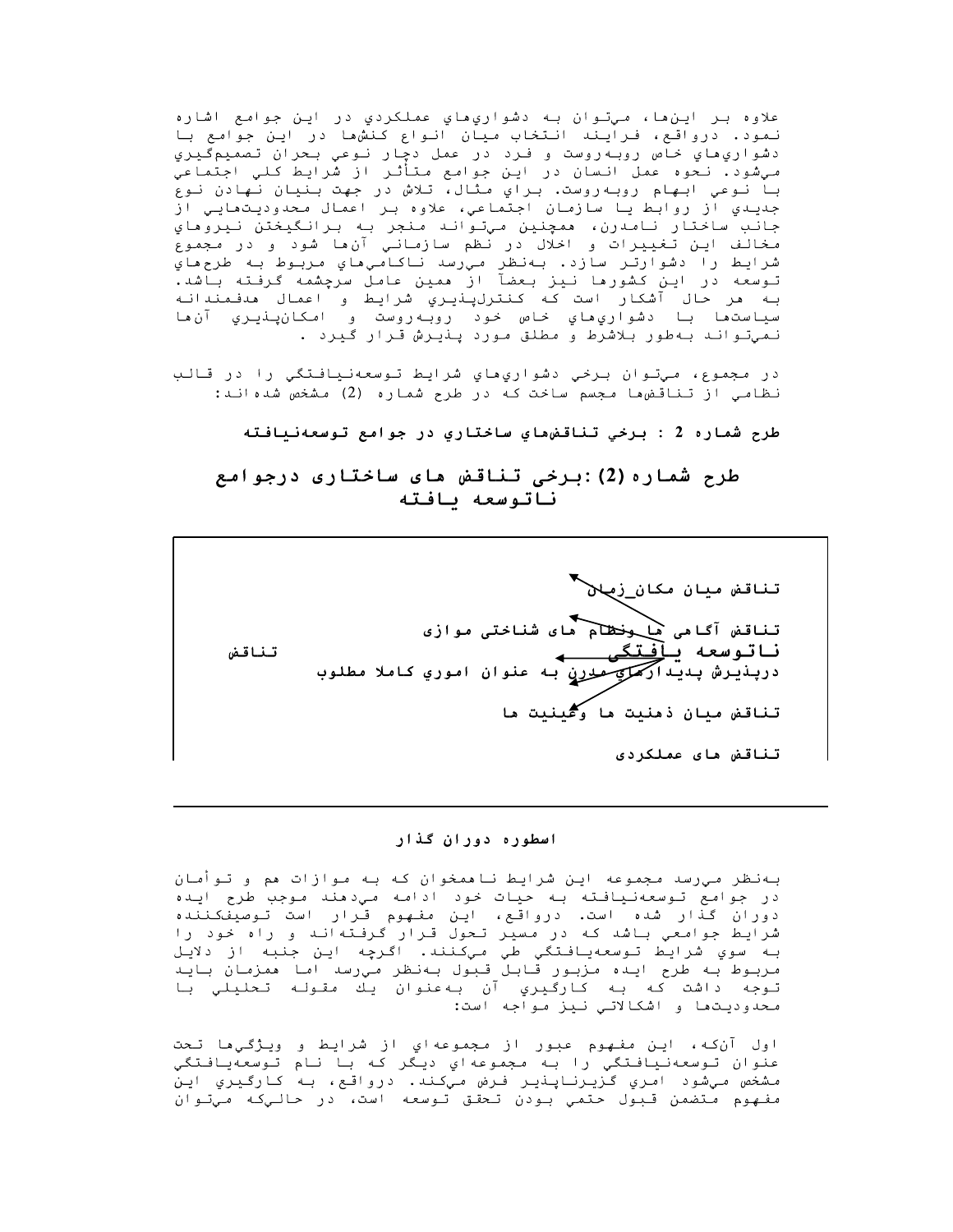علاوه بـر ايـن ها، مـيتـوان بـه دشواري هاي عملکردي در ايـن جوامع اشاره نمود. درواقع، فرایند انتخاب میان انواع کنشها در این جوامع با دشواري هاي خاص روبه روست و فرد در عمل دچار نوعي بحران تصميمگيري مي شود . نـحوه عمل انـسان در ايـن جوامع مـتأثـر از شَرايـط كـلي اجتماعي با نوعي ابهام روبهروست. براي مثال، تلاش در جهت بنيان نهادن نوع جدیدی از روابط یا سازمان اجتماعی، علاوه بر اعمال محدودیتمایی از جانب ساختار نامدرن، ممچنين ميتواند منجر به برانگيختن نيروماي مخالف اين تغييرات و اخلال در نظم سازماني آن،ا شود و در مجموع شرايط رآ دشوآرتر سآزد. بهنظر مي رسد ناكامي ماي مربوط به طرح ماي توسعه در این کشورها نیز بعضآ از ممین عامل سرچشمه گرفته باشد. به هر حال آشكار است كه كنترلپنيري شرايط و اعمال هدفمندانه سياستما با دشواريماي خاص خود روبهروست و امكانپنيري آن ها نميتواند بهطور بلاشرط و مطلق مورد ينيرش قرار گيرد .

در مجموع، ميتوان برخي دشواريِهاي شرايط توسعهنيافتگي را در قالب نظامي از تناقض،ها مجسم ساخت كه در طرح شماره (2) مشخص شده اند:

طرح شماره 2 : برخي تناقض،هاي ساختاري در جوامع توسعهنيافته

# طرح شماره (2):برخی تناقض های ساختاری درجوامع ناتوسعه ىافته

تناقض میان مکا<u>ن ز</u>م**ان** تناقض آگامی ها وخطام های شناختی موازی تناقض ناتوسعه بافتگے درپذیرش پدیدار *کملومو*رن به عنوان اموري کاملا مطلوب تناقض ميان ذمنيت ما وَكَيْنِيت ما تناقض های عملکردی

#### اسطوره دوران گذار

بـهنظر مـِیرسد مـجموعه ایـن شرایط نـاممخوان کـه بـه مـوازات مم و تـوأمـان در جوامع توسعهنیافته به حیات خود ادامه میٖدهند موجب طرح ایده دوران گذار شده است. درواقع، این مفهوم قرار است توصیفکننده شرایط جوامعی باشد که در مسیر تحول قرار گرفتهاند و راه خود را بـه سوي شرايط تـوسعهيـافـتگي طي مـِكـنند. اگـرچه ايـن جـنبه از دلايـَل مربوط به طرح ايده مزبور قابل قبول بهنظر ميرسد اما همزمان بايد توجه داشت كه به كارگيري آن بهعنوان يك مقوله تحليلي با محدوديتها و اشكالاتي نيز مواجه است:

اول آن⁄که، این مفهوم عبور از مجموعهاي از شرایط و ویژگـي،ا تـحت عنوان توسعهنيافتگي را به مجموعهاي ديگر که با نام توسعهيافتگي مشخص ميشود امري گزيرناپذير فرض ميکند. درواقع، به کارگيري اين مفهوم متضمن قبول حتمي بودن تحقق توسعه است، در حاليكه ميّتوان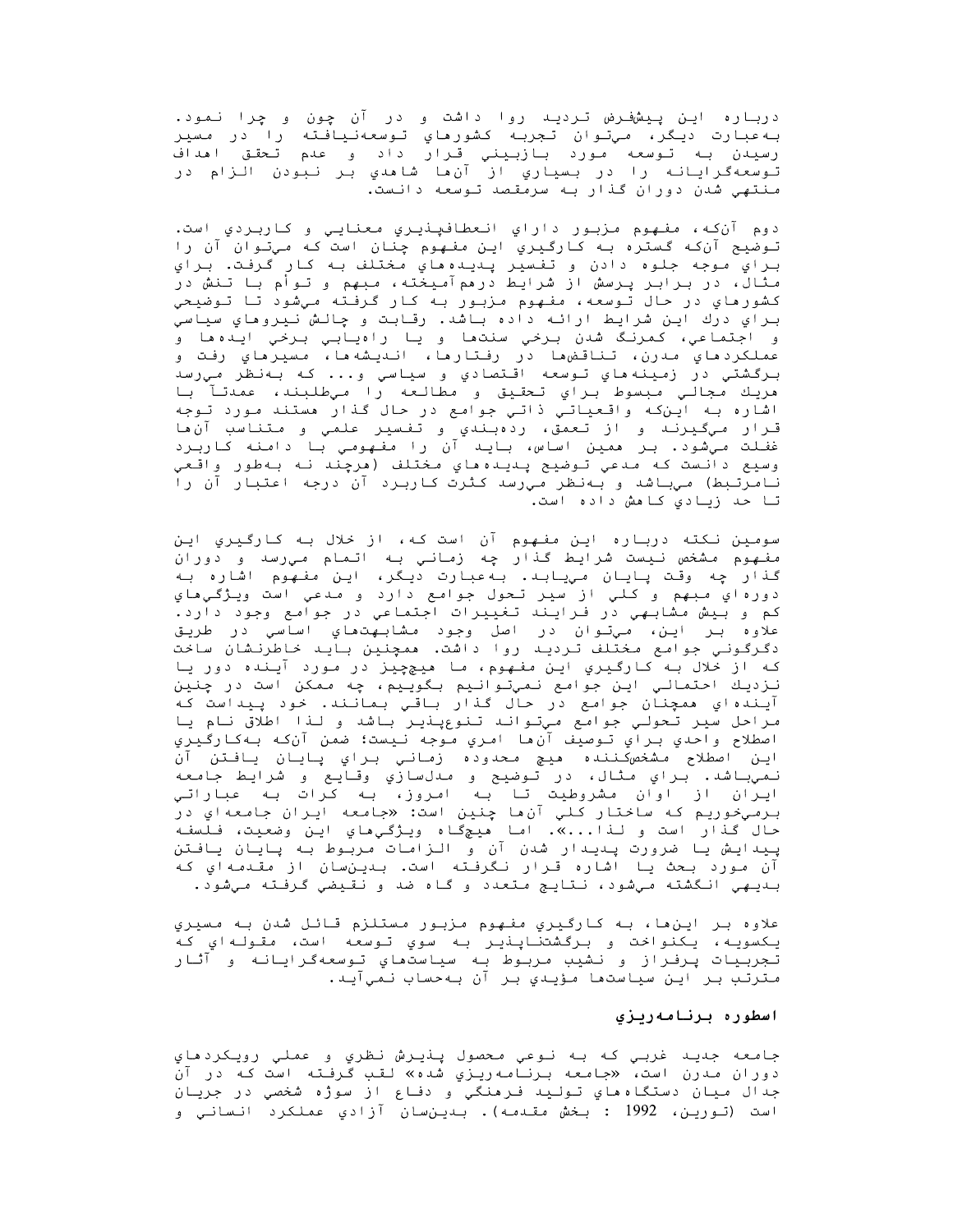دربـاره ايـن پـيشفـرض تـرديـه روا داشت و در آن چون و چرا نـمود. به عبارت ديگر، ميتوان تجربه كشورماي توسعهنيافته را در مسير رسيدن به تـوسعه مـورد بـازبـيني قـرار داد و عدم تـحقـق اهداف<br>تـوسعهگرايـانـه را در بـسيـاري از آن.ها شاهدي بـر نـبودن الـزام در منتهی شدن دوران گذار به سرمقصد توسعه دانست.

دوم آنکه، مفهوم مزبور داراي انعطافپنيري معنايي و کاربردي است. تـوضيح آنکه گستره بـه کـارگـيري ايـن مفـهـوم چنان است کـه مـيتـوان آن را براي موجه جلوه دادن و تفسير پديده هاي مختلف به کار گرفت. براي مثال، در برابر پرسش از شرایط درممآمیخته، مبهم و توأم با تنش در کشورماي در حال توسعه، مفهوم مزبور به کار گرفته ميشود تا توضيحي براي درك اين شرايط ارائه داده باشد. رقابت و چالش نيروهاي سياسي و اجتماعي، كمرنگ شدن برخي سنتها و يا راهيابي برخي ايدهها و عملكردهاي مدرن، تناقض؈ها در رفتارها، انىيشەها، مسيرهاي رفت و برگشتي در زمينههاي توسعه اقتصادي و سياسي و... که بهنظر ميرسد مريك مجالـي مبسوط براي تحقيق و مطالعه را ميطلبند، عمدتـآ با اشاره به این که واقعیاتی ذاتی جوامع در حال گذار هستند مورد توجه قـرار مـيگـيـرنـد و از تـعمق، ردهبـندي و تـفـسير علمـي و مـتـنـاسب آنءا غفـلت مـیشود. بـر همین اساس، بـایـد آن را مفـهـومـی بـا دامـنـه کـاربـرد وسيع دانست كه مدعي توضيح پنيده هاي مختلف (مرچند نه بهطور واقعي نامرتبط) میباشد و بهنظر میرسد کثرت کاربرد آن درجه اعتبار آن راً تا حد زيادي كامش داده است.

سومین نکته درباره این مفهوم آن است که، از خلال به کارگیریِ این مفهوم مشخص نيست شرايط گذار چه زماني به اتمام ميرسد و دوران گذار چه وقت پایان میبابد. به عبارت دیگر، این مفهوم اشاره به دورهاي مبهم و کلي از سير تحول جوامع دارد و مدعي است ويژگيهاي کم و بيش مشابهي در فرايند تغييرات اجتماعي در جوامع وجود دارد. علاوه بـر ايـن، مـيتـوان در اصل وجود مشابـهت.هاي اساسي در طريـق<br>دگـرگـونـي جـوامـع مـخـتـلف تـرديـد روا داشت. همچنين بـايـد خـاطرنـشان ساخت که از خلال بـه کـارگـیري ایـن مفـهـوم، مـا هیـچچیز در مـورد آیـنده دور یـا نـزديـك احـتمـالـي ايـن جوامـع نـمـيتـوانـيم بـگويـيم، چـه مـمكن است در چـنيـن آيندهاي ممچنان جوامع در حال گذار باقي بمانند. خود پيداست كه مراحل سير تحولي جوامع ميتواند تنوعيذير باشد و لذا اطلاق نام يا اصطلاح واحدي براي توصيف آنءا امري موجه نيست؛ ضمن آن٤ک بهكارگيري اين اصطلاح مشخص⁄كننده هيچ محدوده زماني براي پايان يافتن ان نمي باشد. براي مثال، در توضيح و مدلسازي وقايع و شرايط جامعه ايران از اوان مشروطيت تا به امروز، به كرات به عباراتي برمي دوريم که ساختار کلي آن ما چنين است: «جامعه ايران جامعهاي در حال گذار است و لـذا...». اما هيچگاه ويـژگـيهاي ايـن وضعيت، فـلسفـه ییدایش یا ضرورت یعیدار شدن آن و الزامات مربوط به یایان یافتن آن مورد بحث یا اشاره قـرار نـگرفـته است. بـدیـنسان از مقـدمـهاي کـه بديهي انگشته ميشود، نتايج متعدد و گاه ضد و نقيضي گرفته ميشود.

علاوه بـر ايـن،هـا، بـه كـارگـيـري مفـهـوم مـزبـور مـستـلـزم قـائـل شدن بـه مـسيـري يكسويه، يكنواخت و برگشتناپنير به سوي توسعه است، مقولهاي كه تجربيات پرفراز و نشيب مربوط به سياستهاي توسعهگرايانه و آثار مترتب بر اين سياستها مؤيدي بر آن بهحساب نميآيد.

### اسطوره برنامهريزي

جامعه جديد غربي كه به نوعي محصول پذيرش نظري و عملي رويكردهاي دوران مدرن است، «جامعه برنامهریزي شده» لقب گرفته است که در آن جدال ميان دستگاههاي توليد فرهنگي و دفاع از سوژه شخصي در جريان است (تورين، 1992 : بخش مقدمه). بدينسان آزادي عملكرد انساني و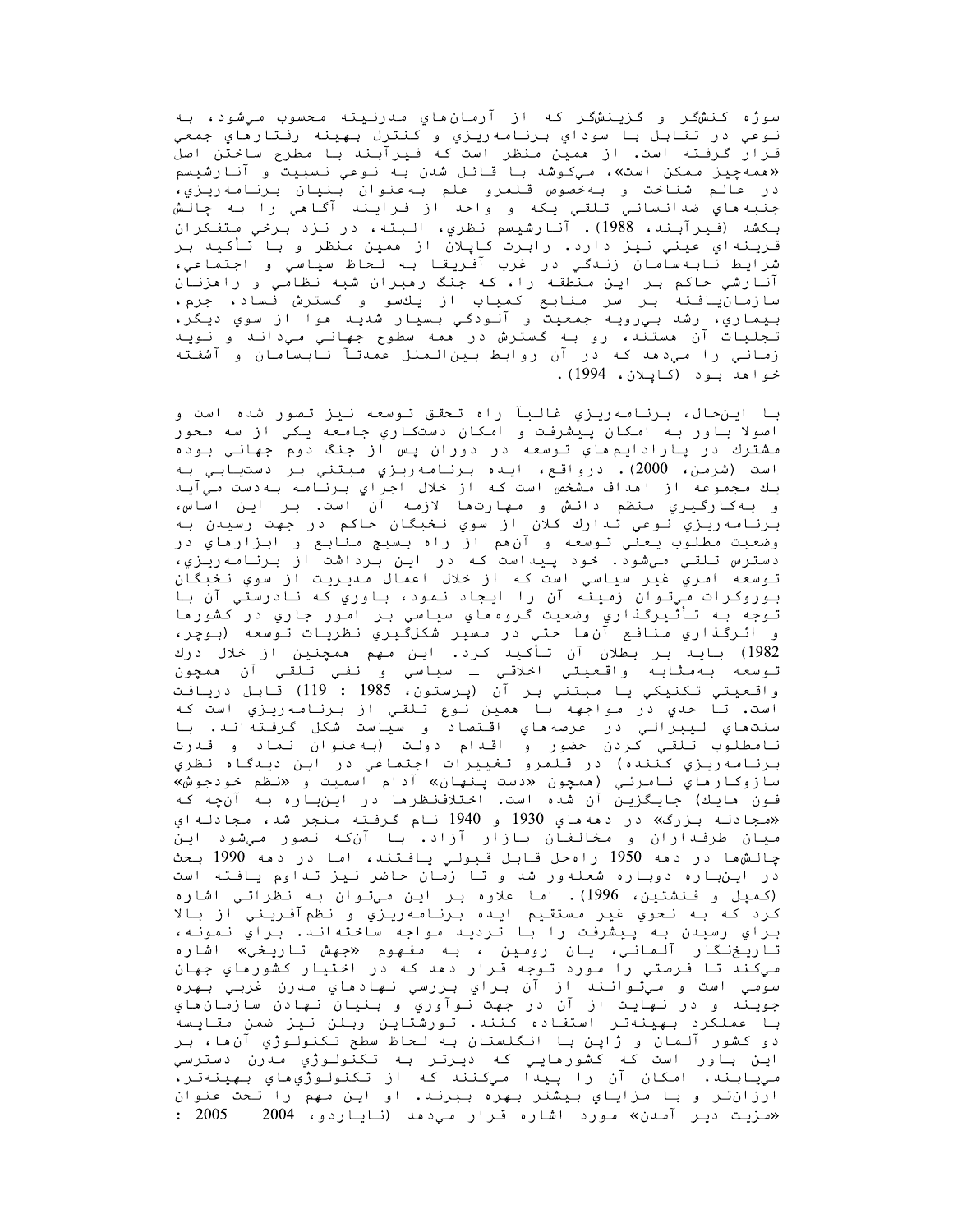سوژه کنشگر و گزينشگر که از آرمانِهاي مدرنيته محسوب ميشود، به نوعي در تقابل با سوداي برنامه<code>ریز</code>ي و کنترل بهینه رفتارهاي جمعي قـرار گرفـته است. از همین منظر است که فـیرآبـند بـا مطرح ساخـتن اصل «همه چیز ممکن است»، میکوشد با قائل شدن به نوعی نسبیت و آنارشیسم در عالم شناخت و بهخصوص قلمرو علم بهعنوان بنيان برنامهريزي، جنبه ماي ضدانساني تلقي يكه و واحد از فرايند آگامي را به چالش بكشد (فيرآبند، 1988). آنارشيسم نظري، البته، در نزد برخي متفكران قرینهاي عیني نیز دارد. رابرت کاپلان از همین منظر و با تأکید بر شرايط نابهسامان زندگي در غرب آفريقا به لحاظ سياسي و اجتماعي، آنارشی حاکم بر این منطقه را، که جنگ رمبران شبه نظامی و رامزنان سازمانيافته بر سر منابع كمياب از يكسو و گسترش فساد، جرم، بيماري، رشد بي رويه جمعيت و آلودگي بسيار شديد موا از سوي ديگر، تجليات آن مستند، رو به گسترش در ممه سطوح جهاني ميداند و نويد زمانی را میدهد که در آن روابط بینالملل عمدتآ نابسامان و آشفته خواهد بود (کاپلان، 1994).

با اینحال، برنامه٬یزی غالبآ راه تحقق توسعه نیز تصور شده است و اصولا باور به امکان پیشرفت و امکان دستکاري جامعه یکي از سه محور مشترك در پارادايم ماي توسعه در دوران پس از جنگ دوم جهاني بوده است (شرمن، 2000). درواقع، ايده برنامهريزي مبتني بر دستيابي به يك مجموعه از اهداف مشخص است كه از خلال اجراي برنامه بهدست مي آيد و بـه كـارگـيري مـنظم دانـش و مـهارتـها لازمـه آن است. بـر ايـن اساس، برنامه ريزي نوعي تدارك كلان از سوي نخبگان حاكم در جهت رسيدن به وضعيت مطلوب يعني توسعه و آنءم از راه بسيج منابع و ابزارهاي در دسترس تلقي مي شود. خود پيداست كه در اين برداشت از برنامه ريزي، تـوسعه امري غير سياسي است کـه از خلال اعمال مـديـريـت از سوي نـخبـگان بوروکرات ميتوان زمينه آن را ايجاد نمود، باوري که نادرستي آن با تـوجه بـه تـأثـيرگـذاري وضعيت گـروه هاي سياسي بـر امـُور جاري در کشور ها و اثرگذاري منافع آن ها حتي در مسير شکلگيري نظريات توسعه (بوچر، 1982) باید بر بطلان آن تأکید کرد. این مهم همچنین از خلال درك تـوسعه بـهمثابـه واقـعـيـتي اخلاقـي ــ سياسي و نـفـي تـلقـي آن همچون<br>واقـعـيـتي تـكـنـيكي يـا مـبـتـني بـر آن (پـرسـتون، 1985 : 119) قـابـل دريـافـت است. تا حدي در مواجهه با همين نوع تلقى از برنامه<code>ری</code>ري است كه سنتھاي ليبرالي در عرصهھاي اقتصاد و سياست شكل گرفتهاند. با نامطلوب تلقي كردن حضور و اقـدام دولت (بـهعنوان نـماد و قـدرت برنامه ريزي كننده) در قلمرو تغييرات اجتماعي در اين ديىگاه نظري سازوكارهاي نامرئـي (ممچون «دست پـنهان» آدام اسميت و «نظم خودجوش» فـون هایـك) جایـگـزیـن آن شده است. اخـتلافنـظرها در ایـنبـاره بـه آنچه كـه «مجادله بزرگ» در دهههاي 1930 و 1940 نام گرفته منجر شد، مجادلهاي میان طرفـداران و مخالـفـان بـازار آزاد. بـا آنکـه تصور مـيشود ايـن جالشها در دهه 1950 راه حل قابل قنولی بافتند، اما در دهه 1990 بخث در این باره دوباره شعلهور شد و تا زمان حاضر نیز تداوم یافته است (کمپل و فنشتین، 1996). اما علاوه بر این میتوان به نظراتی اشاره كرد كه به نحوي غير مستقيم ايده برنامه(يزي و نظمآفريني از بالا براي رسيدن به پيشرفت را با ترديد مواجه ساختهاند. براي نمونه، تاريخنگار آلماني، يان رومين ، به مفهوم «*جه*ش تاريخي» اشاره میکند تا فرصتی را مورد توجه قرار دهد که در اختیار کشورهاي جهان سومي است و ميتوانند از آن براي بررسي نهادهاي مدرن غربي بهره جویند و در نهایت از آن در جهت نوآوری و بنیان نهادن سازمان مای با عملكرد بهينهتر استفاده كنند. تورشتاين وبلن نيز ضمن مقايسه دو کشور آلمان و ژاپن با انگلستان به لحاظ سطح تکنولوژي آن ها، بر اين باور است که کشورهايي که ديرتر به تکنولوژي مدرن دسترسي مييابند، امكان آن را پيدا ميكنند كه از تكنولوژي هاي بهينهتر، ارزانتر و با مزایاي بیشتر بهره ببرند. او این مهم را تحت عنوان «مزیت دیر آمدن» مورد اشاره قرار میدهد (نایاردو، 2004 ـ 2005 :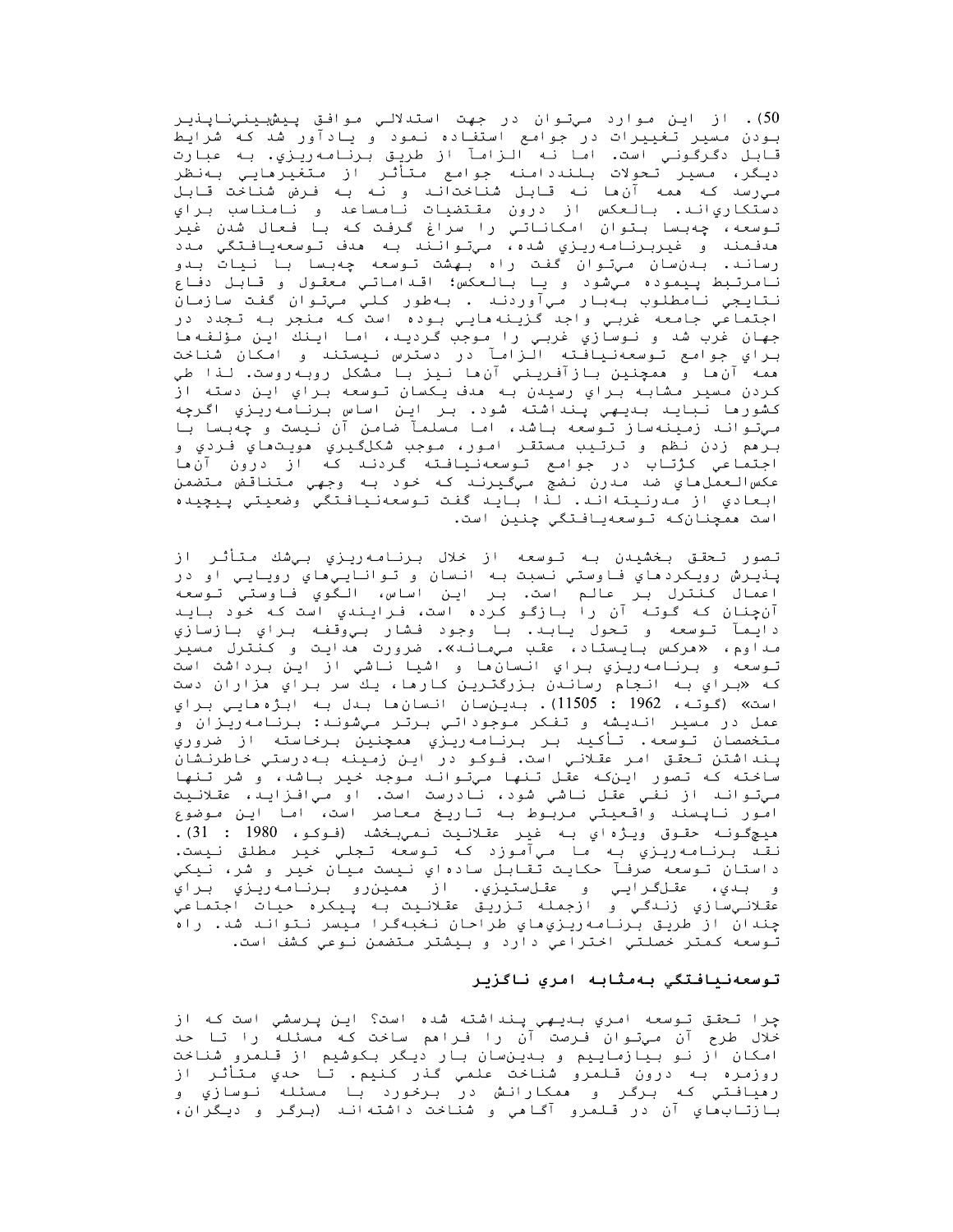50). از اين موارد ميتوان در جهت استدلالي موافق پيشېينيناپنيلي بـودن مـسيـر تـغـيـرات در جـوامـع استفـاده نـمـود و يـادآور شـد كـه شرايـط<br>قـابـل دگـرگـونـي است. امـا نـه الـزامـآ از طريـق بـرنـامـه ريـزي. بـه عبـارت ديگر، مسير تحولات بلنددامنه جوامع متأثر از متغيرهايي بهنظر میِرسد که همه آنِها نه قابل شناختاند و نه به فـرض شناخت قابل دستكارياند. بالعكس از درون مقتضيات نامساعد و نامناسب براي توسعه، چهبسا بتوان امکاناتی را سراغ گرفت که با فعال شدن غیر هدفـمند و غيربرنـامـهريـزي شده، مـيتـوانـند بـه هدف تـوسعهيـافـتگي مـدد رساند. بدن سان میتوان گفت راه بهشت توسعه چهبسا با نیات بدو نامرتبط پيموده ميشود و يا بالعكس؛ اقداماتي معقول و قابل دفاع نتايجي نامطلوب بهبار ميآوردند . بهطور كليّ ميتوان گفت سازمان<br>اجتماعي جامعه غربي واجد گزينه مايي بوده است كه منجر به تجدد در جهان غرب شد و نوسازي غربي را موجب گرديد، اما اينك اين مؤلفهما براي جوامع توسعهنيافته الزامآ در دسترس نيستند و امكان شناخت همه آنءا و همچنين بازآفريني آنءا نيز با مشكل روبهروست. لذا طي کردن مسیر مشابه براي رسیدن به هدف یکسان توسعه براي این دسته از كشورها نبايـد بـديـهي پـنداشته شود. بـر ايـن اساس بـرنـامـه<code>ريـزي اگـرچه</code> میتواند زمینهساز توسعه باشد، اما مسلمآ ضامن آن نیست و چهبسا با بـرهم زدن نظم و تـرتـیب مـستقـر امـور، مـوجب شکلگـیـری هویـتـهـای فـردی و اجتماعی کژتاب در جوامع توسعهنیافته گردند که از درون آنها عكسالعمل،اعي ضد مدرن نضج ميگيرند كه خود به وجهي متناقض متضمن ابعادي از مدرنيته اند. لذا بايد گفت توسعهنيافتگي وضعيتي پيچيده است همچنانکه توسعهیافتگي چنین است.

تصور تحقق بخشيدن به توسعه از خلال برنامه<code>ری</code>زي بيشك متأثر از پنڍيرش رويکردهاي فاوستي نسبت به انسان و تواناييهاي رويايي او در اعمال كنترل بر عالم است. بر اين اساس، الـگوي فاوستي توسعه آنچنان که گوته آن را بازگو کرده است، فرایندي است که خود باید دايمآ توسعه و تحول يابد. با وجود فشار بيوقفه براي بازسازي مداوم، «مرکس بایستاد، عقب *میم*اند». ضرورت مدایت و کنترل مسیر توسعه و برنامه<code>ری</code>ري براي انسانِها و اشيا ناشي از اين برداشت است که «براي به انجام رساندن بزرگترين کارها، يك سر براي هزاران دست است» (گوته، 1962 : 11505). بىينسان انىسانھا بىدل بە ابژەھايى براي عمل در مسير انديشه و تفكر موجوداتي برتر ميشوند: برنامه<code>ری</code>ران و متخصصان توسعه. تأكيد بر برنامه‹ريزي همچنين برخاسته از ضروري پـنداشتن تـحقق امـر عقـلانـي است. فـوکـو در ايـن زمـيـنـه بـه<code>درستي خـاطرنـشان</code> ساخته که تصور اینکه عقل تنها میتواند موجد خیر باشد، و شر تنها امور ناپسند واقعيتي مربوط به تاريخ معاصر است، اما اين موضوع ميج&ونه حقوق ويژهاي به غير عقلانيت نمي بخشد (فوكو، 1980 : 31). نقد برنامه<code>ری</code>زي به ما ميآموزد که توسعه تجلي خیر مطلق نیست. داستان توسعه صرفآ حكايت تقابل سادهاي نيست ميان خير و شر، نيكي و بـدي، عقـلگـرايـي و عقـلستيزي. از همين٫و بـرنـامـه ريـزي بـراي عقلانيسازي زندگي و ازجمله تزريق عقلانيت به پيكره حيات اجتماعي چندان از طريق برنامه<code>ريزي</code>هاي طراحان نخبهگرا ميسر نتواند شد. راه توسعه کمتر خصلتي اختراعي دارد و بيشتر متضمن نوعي کشف است.

### توسعەنیافتگی بەمثابە امرى ناگزیر

چرا تحقق توسعه امري بديهي پنداشته شده است؟ اين پرسشي است که از خلال طرح آن میتوان فـرصت آن را فـراهم ساخت کـه مـسئـله را تـا حـد امکان از نو بیازماییم و بدینسان بار دیگر بکوشیم از قلمرو شناخت روزمره به درون قـلمرو شناخت علمي گذر كـنيم. تـا حدي مـتأثـر از رهيافتي كه برگر و همكارانش در برخورد با مسئله نوسازي و بازتابماي آن در قـلمرو آگـامي و شناخت داشتهانـد (برگر و ديگران،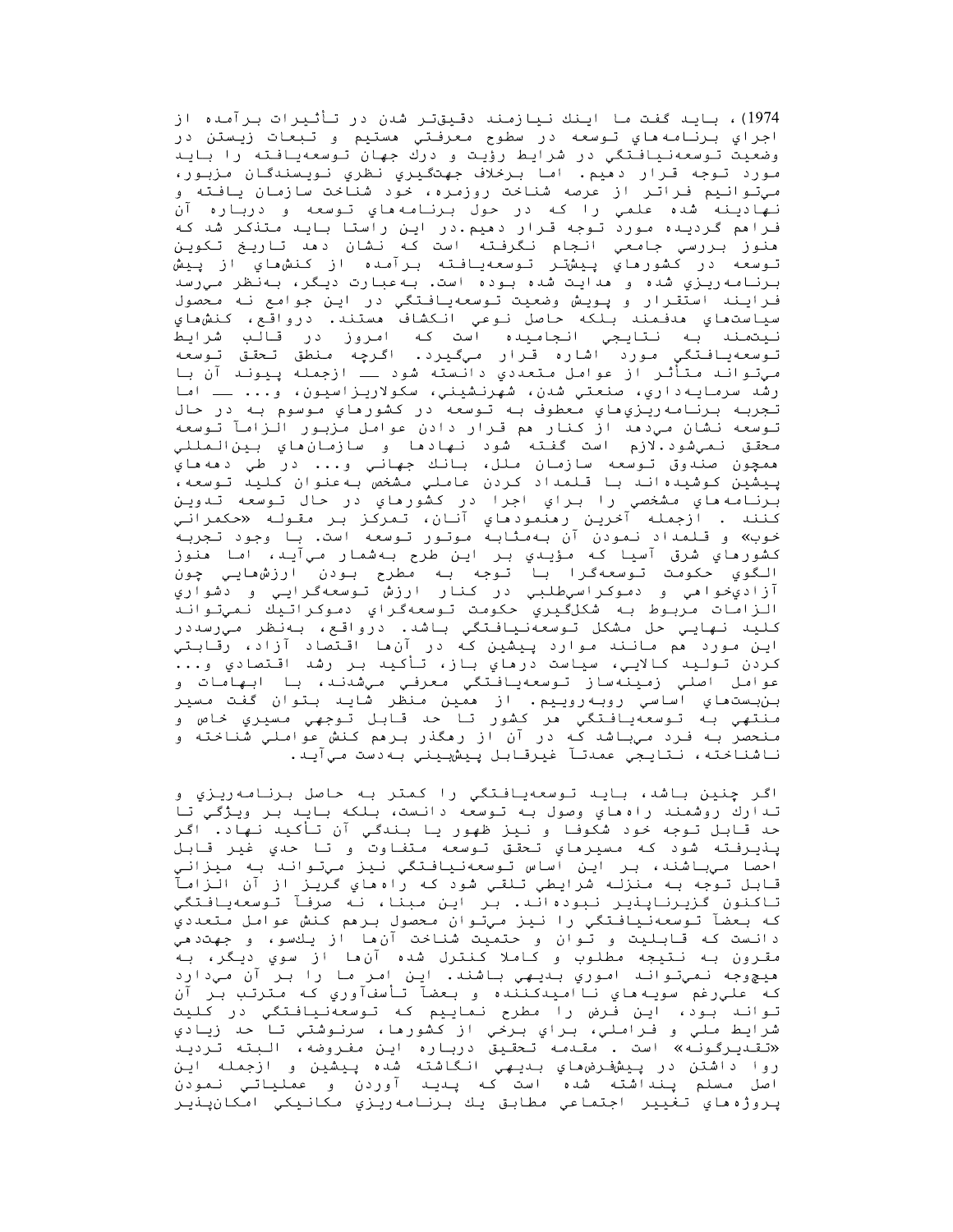1974)، باید گفت ما اینك نیازمند دقیقتر شدن در تأثیرات برآمده از اجراي برنامه ماي توسعه در سطوح معرفتي مستيم و تبعات زيستن در وضعيت توسعهنيافتگي در شرايط رؤيت و درك جهان توسعهيافته را بايد مورد توجه قرار دهيم. اما برخلاف جهتگيري نظري نويسندگان مزبور، میِتوانیم فراتر از عرصه شناخت روزمره، خود شناخت سازمان یافته و نهادينه شده علمي را كه در حول برنامههاي توسعه و درباره آن فرامم گردیده مورد توجه قرار دهیم.در این راستا باید متذکر شد که هنوز بررسي جامعي انجام نگرفته است که نشان دهد تاريخ تکوين تـوسعه در كشورماي پـيشتـر تـوسعهيـافـته بـرآمـده از كـنشماي از پـيش برنامه٫یزي شده و هدايت شده بوده است. بهعبارت ديگر، بهنظر میرسد فـرايـند استقـرار و پـويـش وضعيت تـوسعهيـافـتگي در ايـن جوامع نـه مـحصول سياستماي مدفـمند بـلكه حاصل نـوعي انـكشاف مستند. درواقع، كـنشماي نـيتمـنـد بـه نـتـايـجي انـجـامـيـده است کـه امـروز در قـالـب شرايـط<br>تـوسعـهـيـافـتگـي مـورد اشـاره قـرار مـيگـيـرد . اگـرچـه مـنطق تـحقـق تـوسعـه ميټواند متأثـر از عوامل متعددي دانسته شود ـــ ازجمله پـيونـد آن بـا رشد سرمايـه١١ري، صنعتي شدن، شهرنشيني، سکولاريـزاسيون، و... ــ اما تجربه برنامه<code>ری</code>ري هاي معطوف به توسعه در کشورهاي موسوم به در حال توسعه نشان میدهد از کنار هم قرار دادن عوامل مزبور الزامآ توسعه محقق نـميشود.لازم است گفـته شود نـهادها و سازمـان،هاي بـينıلـمللـي همچون صندوق توسعه سازمان ملل، بانك جهاني و... در طي دهههاي پیشین کوشیده اند با قلمداد کردن عاملي مشخص بهعنوان کلید توسعه، برنامه هاي مشخصي را براي اجرا در كشورهاي در حال توسعه تدوين كنند . ازجمله آخرين رمنمودماي آنان، تمركز بر *م*قوله «*ح*كمراني خوب» و قـلمداد نـمودن آن بـهمثابـه مـوتـور تـوسعه است. بـا وجود تـجربـه كشورهاي شرق آسيا كه مؤيدي بر اين طرح بهشمار ميآيد، اما هنوز الگوي حكومت توسعهگرا با توجه به مطرح بودن ارزشهايي چون آزاديخواهي و دموکراسيطلبي در کنار ارزش توسعهگرايي و دشواري الزامات مربوط به شكلگيري حكومت توسعهگراي دموكراتيك نميتواند كليد نهايي حل مشكل توسعهنيافتگي باشد. درواقع، بهنظر ميرسددر اين مورد هم مانند موارد پيشين كه در آنها اقتصاد آزاد، رقابتي .<br>كردن تـولـيد كالايـي، سياست درماي بـاز، تـأكـيد بـر رشد اقـتصادي و... عوامل اصلي زمينهساز توسعهيافتگي معرفي ميشدند، با ابهامات و بن بستماي اساسي روبه روييم. از ممين منظر شايد بتوان گفت مسير منتهي به توسعهيافتگي هر كشور تا حد قابل توجهي مسيري خاص و منحصر به فرد میباشد که در آن از رهگذر برهم کنش عواملی شناخته و ناشناخته، نتايجي عمدتآ غيرقابل پيشبيني بهدست ميآيد.

اگر چنين باشد، بايد توسعهيافتگي را كمتر به حاصل برنامهريزي و تدارك روشمند راه هاي وصول به توسعه دانست، بلكه بايد بر ويژگي تا حد قـابـل تـوجه خود شكوفـا و نـيز ظهور يـا بـندگـي آن تـأكـيد نـهاد. اگـر پـذيـرفـته شود كـه مـسيـرماي تـحقـق تـوسعه مـتفـاوت و تـا حـدي غيـر قـابـل احصا میباشند، بر این اساس توسعهنیافتگي نیز ميتواند به میزاني قابل تـوجه بـه مـنزلـه شرايطي تـلقـي شود كـه راهـهاي گـريـز از آن الـزامـآ تاكنون كزيرناپنير نبوده اند. بر اين مبنا، نه صرفاً توسعهيافتگي كه بعضآ توسعهنيافتگي را نيز ميتوان محصول برهم كنش عوامل متعددي دانست که قابلیت و توان و حتمیت شناخت آنها از یكسو، و جهتدهی مقرون به نتيجه مطلوب و كاملا كنترل شده آن ها از سوي ديگر، به هيچوجه نميتواند اموري بديهي باشند. اين امر ما را بر آن ميدارد كه عليٍرغم سويـهماي نااميدكننده و بعضآ تأسفآوري كه مترتب بر آن تواند بود، این فرض را مطرح نماییم که توسعهنیافتگی در کلیت شرايط ملي و فـراملي، بـراي بـرخي از کشورها، سرنـوشتي تـا حـد زيـادي «تقىديرگونـه» است . مقـدمـه تـحقـيق درباره ايـن مفـروضه، الـبته تـرديـد روا داشتن در پیشفرض هاي بىدیهی انگاشته شده پیشین و ازجمله این اصل مسلم پنداشته شده است که پدید آوردن و عملیاتی نمودن پروژه هاي تغيير اجتماعي مطابق يك برنامه ريزي مكانيكي امكانپنير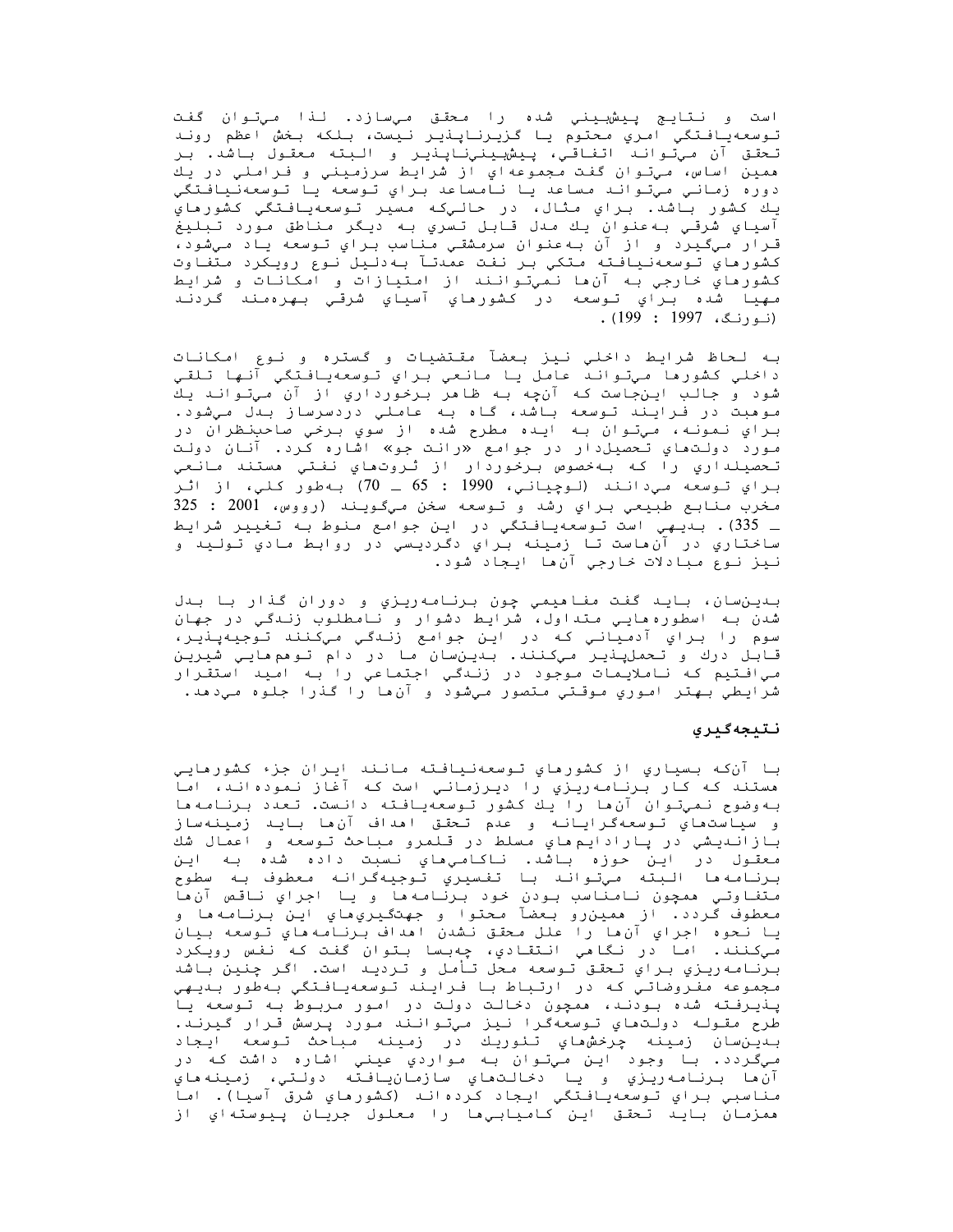است و نـتايـج پـيشبـيـنـي شده را مـحقـق مـيسازد. لـذا مـيتـوان گفت توسعهيافتگي امري محتوم يا گزيرناپذير نيست، بلكه بخش اعظم روند تحقق آن *مي*توانـد اتفـاقـي، پـيش<u>بـي</u>نـيiـاپـذيـر و الـبـته مـعقـول بـاشد. بـر همين اساس، ميتوان گفت مجموعهاي از شرايط سرزميني و فراملي در يك دوره زماني ميتواند مساعد يا نامساعد براي توسعه يا توسعهنيافتگي یك كشور باشد. برای مثال، در حالیکه مسیر توسعهیافتگی کشورهای آسياي شرقـي بـه عنوان يـك مـدل قـابـل تـسري بـه ديـگر مـناطق مـورد تـبـليغ قـرار مـيگـيـرد و از آن بـه عنوان سرمـشقـي مـناسب بـراي تـوسعه يـاد مـيشود، كشورهاي توسعەنيافته متكي بر نفت عمدتآ بهدليل نوع رويكرد متفاوت كشورماي خارجي به آنءا نميتوانند از امتيازات و امكانات و شرايط مهيا شده براي توسعه در كشورماي آسياي شرقي بهرهمند گردند . (نورنگ، 1997 : 199).

به لحاظ شرايط داخلي نيز بعضآ مقتضيات و گستره و نوع امكانات داخلي كشورها ميتواند عامل يا مانعي براي توسعهيافتگي آنها تلقي شود و جالب اينجاست كه آنچه به ظاهر برخورداري از آن ميتواند يك موهبت در فرایند توسعه باشد، گاه به عاملی دردسرساز بدل میشود. براي نمونه، ميتوان به ايده مطرح شده از سوي برخي صاحبنظران در مورد دولتهاي تحصيل دار در جوامع «رانت جو» اشاره كرد. آنان دولت تحصيلداري را كه بهخصوص برخوردار از ثروتهاي نفتي مستند مانعي براي توسعه مي دانند (لوچياني، 1990 : 65 ـ 70) به طور كلي، از اثر مخرب منابع طبيعي براي رشد و توسعه سخن ميگويند (رووس، 2001 : 325 \_ 335). بـديـهي است تـوسعهيـافـتگي در ايـن جوامـع مـنوط بـه تـغيير شرايـط ساختاري در آنءاست تا زمينه براي دگرديسي در روابط مادي توليد و نيز نوع مبادلات خارجي آن ها ايجاد شود.

بدينسان، بايد گفت مفاميمي چون برنامهريزي و دوران گذار با بدل شدن بـه اسطوره هایـی مـتداول، شرایط دشوار و نـامطلوب زنـدگـی در جمهان سوم را براي آدمياني كه در اين جوامع زندگي ميكنند توجيهپنير، قابل درك و تحملپنير ميكنند. بىدينسان ما در دام تومم مايي شيرين مي افـتيم كـه نـامـلايـمـات مـوجود در زنـدگـي اجـتمـاعي را بـه امـيـد استقـرار شرايطي بهتر اموري موقتي متصور ميشود و آنءا را گذرا جلوه ميدهد.

### نتبجهګېری

با آنکه بسياري از کشورهاي توسعهنيافته مانند ايران جزء کشورهايي هستند که کار برنامهریزي را دیرزماني است که آغاز نمودهاند، اما به وضوح نميٍتوان آن ها را يك كشور توسعهيافته دانست. تعدد برنامه ها و سياستماي تـوسعهگـرايـانـه و عدم تـحقـق امداف آن ما بـايـد زمـيـنـهساز بازاندیشی در یارادایم های مسلط در قلمرو مباحث توسعه و اعمال شك معقول در اين حوزه باشد. ناكامي،اي نسبت داده شده به اين .<br>برنامه ها البته ميتواند با تفسيري توجيهگرانه معطوف به سطوح متفاوتي ممچون نامناسب بودن خود برنامهما و يا اجراي ناقص آنما معطوف گردد. از همين٫رو بعضآ محتوا و جهتگيريِهاي اين برنامهها و يا نحوه اجراي آنءا را علل محقق نشدن اهداف برنامه هاي توسعه بيان میکنند. اما در نگاهی انتقادي، چهبسا بتوان گفت که نفس رويکرد برنامه ريزي براي تحقق توسعه محل تأمل و ترديد است. اگر چنين باشد مجموعه مفروضاتی که در ارتباط با فرایند توسعهیافتگی بهطور بدیهی ینیرفته شده بودند، ممجون دخالت دولت در امور مربوط به توسعه یا طرح مقـولـه دولـتماي تـوسعهگرا نـيز ميتوانـند مورد پـرسش قـرار گـيرنـد. صرح مصرحا الارتباعات المرار و در است و در است بار در دارد.<br>بدين ان زمينه چرخش هاي تئوريك در زمينه مباحث توسعه ايجاد ميگردد. با وجود اين ميتوان به مواردي عيني اشاره داشت که در آن،ما برنامه(يزي و يا دخالتهاي سازمانيافته دولتي، زمينههاي مناسبي براي توسعهيافتگي ايجاد كردهاند (كشورهاي شرق آسيا). اما ممزمان بايد تحقق اين كاميابيها را معلول جريان پيوستهاي از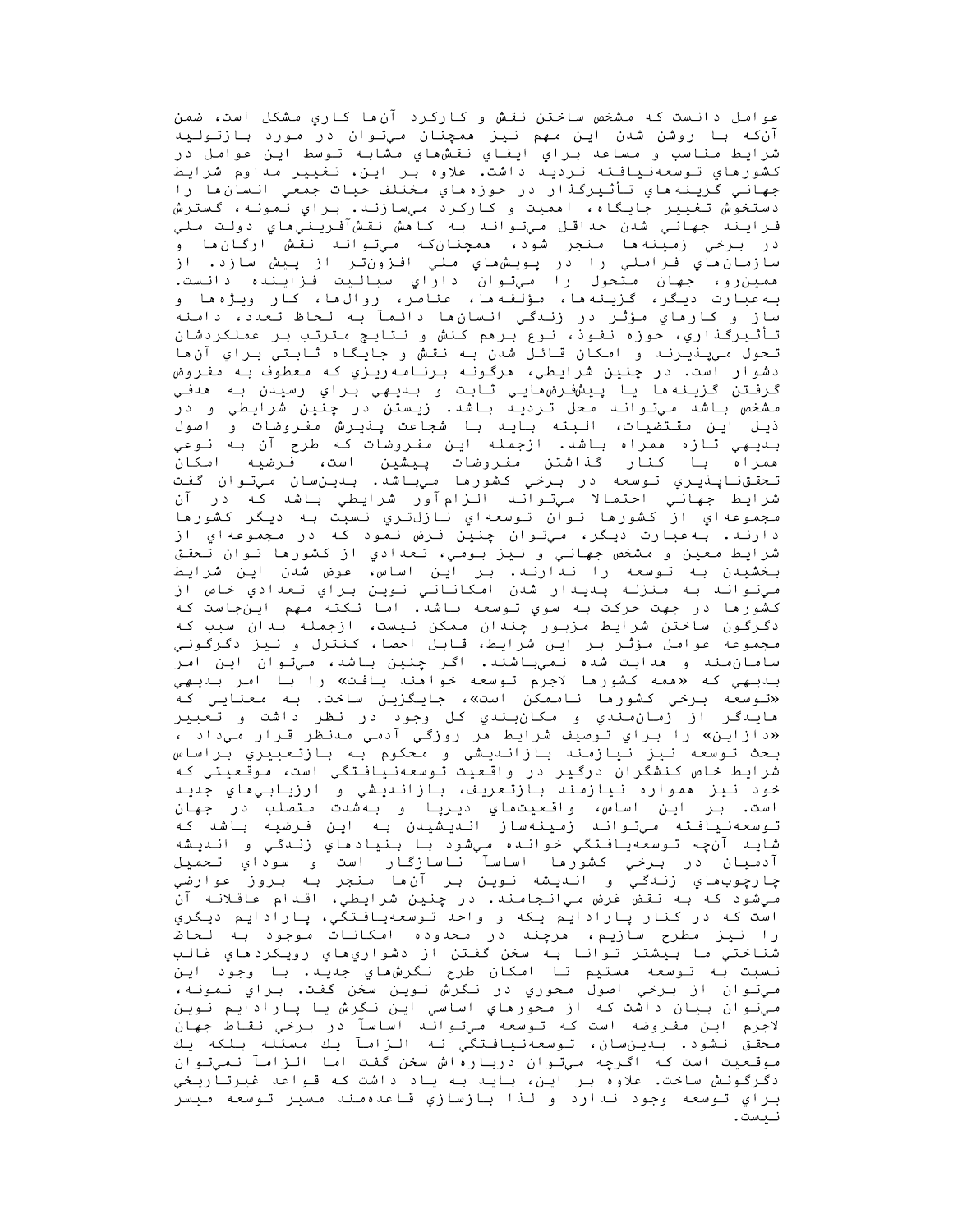عوامل دانست که مشخص ساختن نقش و کارکرد آن ما کاري مشکل است، ضمن آن که با روشن شدن این مهم نیز ممچنان میتوان در مورد بازتولید شرايط مناسب و مساعد براي ايفاي نقشهاي مشابه توسط اين عوامل در كشورماي توسعهنيافته ترديد داشت. علاوه بر اين، تغيير مداوم شرايط جهاني گزينه هاي تأثيرگذار در حوزه هاي مختلف حيات جمعي انسان ها را دستخوش تغییر جایگاه، اهمیت و کارکرد میسازند. برای نمونه، گسترش فـرايـنـد جـهـانـي شـدن حـداقـل مـيتـوانـد بـه كـاهش نـقـشآفـريـنـي هـاي دولـت مـلـي در برخي زمينه ها منجر شود، ممچنانکه ميتواند نقش ارگان،ها و سازمان ماي فراملي را در پـويـشماي ملي افـزونتـر از پـيش سازد. از ممين رو، جهان متحول را ميتوان داراي سياليت فزاينده دانست. به عبارت ديگر، گزينه ها، مؤلفه ها، عناصر، روال ها، كار ويژه ها و ساز و كارهاي مؤثر در زنـدگي انـسانها دائـمآ بـه لـحاظ تـعدد، دامـنـه تأثیرگذاري، حوزه نفوذ، نوع برهم کنش و نتایج مترتب بر عملکردشان تحول ميپنيرند و امکان قائل شدن به نقش و جايگاه ثابتي براي آنءا دشوار است. در چنين شرايطي، مرگونه برنامهريزي که معطوف به مفروض گرفتن گزينهھا يا پيشفرضھايي ثابت و بىديىي براي رسيدن به ھدفي مشخص باشد ميتواند محل ترديد باشد. زيستن در چنين شرايطي و در ذيل اين مقتضيات، البته بايد با شجاعت پنيرش مفروضات و اصول بديهي تازه ممراه باشد. ازجمله اين مفروضات كه طرح آن به نوعي ممراه با كنار گذاشتن مفروضات پیشین است، فرضیه امكان تحققنایذیری توسعه در برخی کشورها میباشد. بدینسان میتوان گفت شرايط جهانـي احتمالا مـيتـوانـد الـزام آور شرايـطي بـاشد كـه در آن<br>مجموعهاي از كشورها تـوان تـوسعهاي نـازلتـري نـسبت بـه ديـگر كشورها دارند. بهعبارت ديگر، ميتوان چنين فرض نمود که در مجموعهاي از شرايط معين و مشخص جهاني و نيز بومي، تعدادي از كشورها توان تحقق بخشیدن به توسعه را ندارند. بر این اساس، عوض شدن این شرایط مي تواند به منزله پديدار شدن امكاناتي نوين براي تعدادي خاص از كشورما در جهت حركت به سوي توسعه باشد. اما نكته مهم اينجاست كه دگرگون ساختن شرایط مزبور چندان ممکن نیست، ازجمله بدان سبب که مجموعه عوامل مؤثر بر اين شرايط، قابل احصا، كنترل و نيز دگرگوني سامان مند و مدايت شده نميباشند. اگر چنين باشد، ميتوان اين امر بديهي كه «ممه كشورما لاجرم توسعه خوامند يافت» را با امر بديهي «توسعه برخي كشورها ناممكن است»، جايگزين ساخت. به معنايي كه ماينګر از زمان،سندي و مکانبندي کل وجود در نظر داشت و تعبير «دازاین» را براي توصيف شرايط مر روزگي آدمي مدنظر قرار ميداد ، بحث توسعه نيز نيازمند بازانديشي و محكوم به بازتعبيري براساس شرایط خاص کنشگران درگیر در واقعیت توسعهنیافتگی است، موقعیتی که خود نيز همواره نيازمند بازتعريف، بازانديشي و ارزيابيهاي جديد است. بـر ايـن اساس، واقـعـيتھاي ديـرپـا و بـهشدت مـتصلب در جهان توسعهنیافته میتواند زمینهساز اندیشیدن به این فرضیه باشد که شايد آنچه توسعهيافتگي خوانده ميشود با بنيادهاي زندگي و انديشه آدميان در برخي كشورما اساسآ ناسازگار است و سوداي تـحميل چارچوبھاي زندگي و انديشه نوين بر آنھا منجر به بروز عوارضي مي شود که بـه نقض غرض ميıنجامند. در چنين شرايطي، اقـدام عاقـلانـه آن است که در کنار پارادایم یکه و واحد توسعهیافتگی، پارادایم دیگري را نیز مطرح سازیم، مرچند در محدوده امکانات موجود به لحاظ شناختي ما بيشتر توانا به سخن گفتن از دشواريِهاي رويکردهاي غالب نـسبت بـه تـوسعه مستيم تـا امـكان طرح نـگرش،هاي جديـد. بـا وجود ايـن مي توان از برخي اصول محوري در نگرش نوين سخن گفت. براي نمونه، ميتوان بيان داشت که از محورهاي اساسي اين نگرش يا پارادايم نوين لاجرم اين مفروضه است كه توسعه ميتواند اساسآ در برخي نقاط جهان محقق نشود. بىدين سان، توسعەنيافتگي نه الزامآ يك مسئله بلكه يك مـوقـعـیت است کـه اگـرِچـه مـیتـوان دربـارهاش سخن گفـت امـا الـزامـآ نـمیتـوان دگرگونش ساخت. علاوه بر این، باید به یاد داشت که قواعد غیرتاریخی براي توسعه وجود ندارد و لذا بازسازي قاعدهمند مسير توسعه ميسر نىست.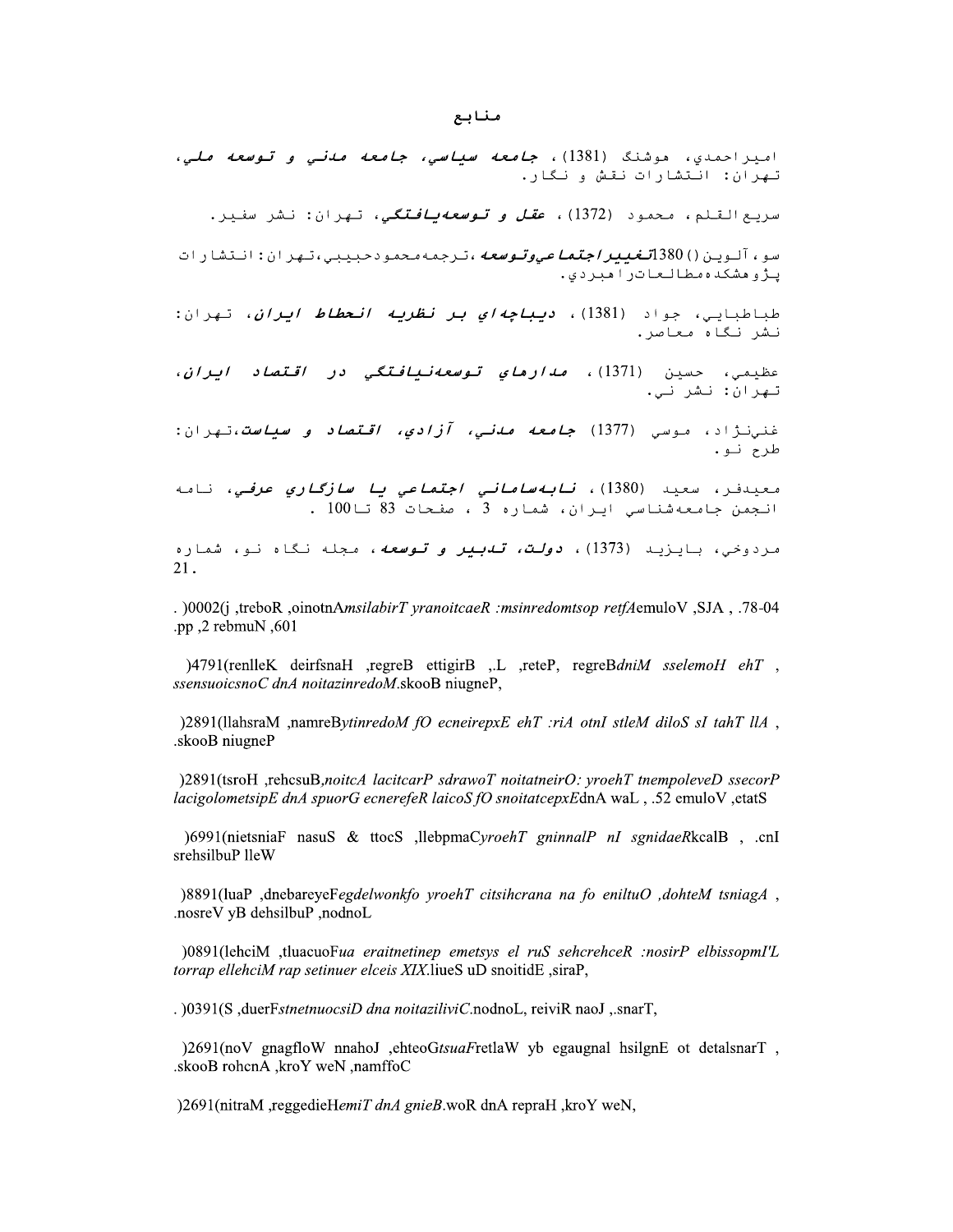**منابع**<br>1381)، *جامعه سياسي، جامعه ماني و توسعه ملي،*<br>ث و نگار.<br>*اجتماعيوتوسعه*،ترجمه،حمودحبيبي،تهران: انتشارات<br>اج*تماعيوتوسعه*،ترجمه،حمودحبيبي،تهران: انتشارات<br>ال)، د*يباجهاي بر نظريه انحطاط ايران*، تهران: **منابع**<br>وشنگ (1381)، *جامعه سياسي، جامعه مدني و توسعه ملي*<br>دمود (1382)، *عقل و توسعهيافتگي*، تهران: نشر سفير.<br>کاترامبردي.<br>ماترامبردي.<br>اد (1381)، *ديباچهاي بر نظريه انحطاط ايران*، تهران **منابع**<br>حمدي، موشنگ (1381)، *جامعه سياسي، جامعه مدني و توس*<br>: انتشارات نقش و نگار.<br>كيو<sub>ين</sub> ()380آ*تغيير/جت<i>ماحيوتوسعه،ترجمهمحمو***دحبيبي،تهران:** نشر سف<br>كدهمطالعاتراهبردي.<br>كدهمطالعاتراهبردي.<br>كيابي، جواد (1381)، *ديباچهاي بر* **منابع**<br>احمدي، هوشنگ (1381)، *جامعه سياسي، جامعه مدني*<br>ن: انتشارات نقش و نگار.<br>القلم، محمود (1372)، *عقل و توسعهيافتگي*، تهران<br>شکدهمطالعاتراهبردي.<br>شکدهمطالعاتراهبردي.<br>بايي، جواد (1381)، *ديباچهاي بر نظريه انحطاط* مفالح<br>امیراحمدي، هوشنگ (1381)، *جامعه سياسي، جامعه مدني و توسعه ملي،*<br>سريح القلم، محمود (1372)، *عقل و توسعه بيافتگي*، تهران: نشر سفير.<br>سو،آلوين()380*سفيبر/جتماعيوتوسعه*،ترجمه محمود حبيبي،تهران: انتشارات<br>پژوهشکده مطالحا **ا**ميراحمدي، موشنگ (1381)، *جامعه سياسي، جامعه مناني و توسعه ملي*<br>تيران: انتشارات نقش و نگار.<br>سريع القلم، محمود (1382)، *عقل و توسعهيافتگي،* تيران: نشر سنير.<br>سو،آلوين()380*الغيبيراجتماعيوتوسعه،ترجمهمحم*ودحبيبي،تيران: انتش اميراحمدي، موشنگ (1381)، *جامعه سياسي، جامعه معنى و توسعه ملي.*<br>تيران: انتشارات نتش و نكار.<br>سربع القلم، محمود (1372)، *عقل و توسعهيافتكي، ن*هران: نشر سنير.<br>سرء آلوين(/)SB0 *الفيبراجتماعيوتوسعه*،ترجمه،حمودحبببي،تهران: انتش

حمدي، هوسند (1561)، *جامعه سياسي، جامعه مدني و نوسعه مدني.*<br>: انتشارات نقش و نگار.<br>ينا انتشارات نقش و نگار.<br><sub>وين</sub> ()380<mark>آ*تغييراجتما م<sub>و</sub>وتوسعه ،ترجمه محمو*دحبيبي ،تهران: انتشارات<br>كنا محامل الحازر الذا )، *ديباچه اي بر نظ</mark>* اسپردازه: انتشارات نقش و نكار.<br>تبريع القام، محمود (1367)، *عقل و توسعه يافتگي،* تبران: نشر سفير.<br>سوءآلوين() 380آل*فيبراجتماعيوقوسعه*،ترجمه،جمودحبيبي،تبران: نشر سفير.<br>يأولوهشكة «مطالعاتوا هيتوني.<br>في الحيابي، جواد (1381)، /*براجتماعيوتوسعه،ت*رجمه،*محم*ودحبيبي،تهران:انتشارات<br>مبردي.<br>فبردي.<br>1381)، *ديباچهاي بر نظريه انحطاط ايران*، تهران:<br>138)، *مدارهاي توسعهنيافتگي در اقتصاد ايران*،<br>13)، *نابهساماني اجتماعي يا سازگاري عرفي،* نامه<br>13)، *نابه* عنم، *محمود (۱۶۱۷)، ع<i>نن و نوسخه ي*افندي، نهزان. نسر ستيز.<br>ين() 380*آتغيير/جتماعيوتوسعه،ترجمه محمو*دحبيبي،تهران:انتشار<br>ي<sub>ده</sub>، جواد (1381)، *ديباچهاي بر نظريه انحطاط ايران،* تهر<br>حسين (1371)، *مدارماي توسعهنيافتگي در اقتص* سريع المنطم، معقود (1972)، *طعن و توطيحاتياسيني. تهر*ان. تسر سنيز.<br>سو، آلوين()1380*قغبير/جمةما صيوتوسعه،ترجمه محمود حبيبي،تهر*ان:انتشارات<br>پروهشكده مطالعاتراهبردي.<br>طباطبايي، جواد (1381)، *ديباچهاي بر تظريه انحطاط ايران*،

*يباچه اي بر نظريه انحطاط ايران*، تهران:<br>*ارماي توسعهنيافتگي در اقتصاد ايران،*<br>*عه مدني، آزادي، اقتصاد و سياست*،تهران:<br>شماره 3 ، صفحات 83 تا100 .<br>شماره 3 ، صفحات 83 تا100 .<br>شماره 3 ، صفحات 83 تا100 .<br>21. رومسنده *مصالح*ادر امبردي.<br>باطبايي، جواد (1381)، *ديب<i>اچه اي بر نظريه انحطاط ايران، تهر***ان:**<br>شرائكاه معاصر.<br>نجران: نشر ني.<br>نجران: نشر ني.<br>نجمن جامعهشناسي ايران، ش*ماماني اجتماعي يا سازگاري عرفي،* نامه<br>نجمن جامعهشناسي اير بروفسنت «مصاحبات( افترازي.<br>طباطبابي، جواد (1381)، *ديباچهاي بر نظريه انحطاط ايران*، تيران:<br>طباطبابي، جواد (1381)، *مدارهاي توسعهانيافتكي در اقتصاد ايران*.<br>طبعي، حسين (1371)، *مدارهاي توسعهانيافتكي در اقتصاد ايران*.<br>طبع ني *ارهاي توسعه نيافتگي در اقتصاد ايران،*<br>*عه مدني، آزادي، اقتصاد و سياست*،تهران:<br>*لمساماني اجتماعي يا سازگاري عرفي*، نامه<br>شماره 3، صفحات 83 تا100 .<br>يلت*، تدبير و توسعه*، مجله نگاه نو، شماره<br>21.<br>pp<sub>,</sub>2 reboR ,oinotnA*msilabi مدار هاي توسعه نيافتگي در اقتصاد ايران،*<br>*جامعه مدني، آزادي، اقتصاد و سياست*،تهران:<br>*نابه ساماني اجتماعي يا سازگاري عرفي*، نامه<br>ن، شماره 3، صفحات 83 تا100 .<br>، *دولت، ته بير و توسعه*، مجله نگاه نو، شماره<br>، د*ولت، ته بير و* .137)، *مدارهاي توسعهنيافتگي در اقتصاد ايران*،<br>1377) *جامعه مدني، آزادي، اقتصاد و سياست*،تهران:<br>138)، *نابهساماني اجتماعي يا سازگاري عرفي*، نامه<br>138)، *نابهساماني اجتماعي يا سازگاري عرفي*، نامه<br>پايران، شماره 3 ، صفحات 83 ه *معامر:*<br>حسين (1371)، *مدارهاي توسعه نيافتگي در اقتصاد اي*<br>، موسي (1377) *جامعه مدني، آزادي، اقتصاد و سياست*،تـ<sub>ه</sub><br>سعيد (1380)، *نـابـهسامـاني اجتمـاعي يـا سازگـاري عرفي*،<br>امعهشناسي ايران، شماره 3، مفحات 83 نـا100 .<br>باي حاء *محاصر.*<br>، حسين (1371)، *مدارهاي توسعهنييافتگي در اق*<br>: نشر ني.<br>و.<br>مجامعهشناسي ايران، *شماره في اجتماعي يا سازگارء*<br>جامعهشناسي ايران، شماره في اجتم*اعي يا سازگارء*<br>ب، بايزيد (1373)، *دولت، تابير و توسعه*، مجله نگ<br>مي سر نک ہ معاصر.<br>ظيمي، حسين (1371)، *مدارماي توسعهنيافتگي در*<br>يران: نشر ني.<br>نرنژاد، موسي (1377) *جامعه مدني، آزادي، اقتصاد*<br>حيدنر، سعيد (1380)، *نابه ساماني اجتماعي يا سازگا*<br>نجمن جامعهشناسي ايران، شماره 3 ، صفحات 83 تا100 لسز لحاء معامر.<br>عظیمی، حسین (1371)، *مدارهاي توسعهنيافتگي در اقتصاد ايران*،<br>غنرنژاد، موس<sub>ى</sub> (1377) *جامعه مدني، آزادي، اقتصاد و سياست*،تهران:<br>غنرنژاد، موسى (1377) *جامعه مدني، آزادي، اقتصاد و سياست*،تهران:<br>انجمن جامعهشناس

لسير (1 . موسى (1377) ج*امعه مدني، آزادي، اقتصاد و سياست*،تهران:<br>فن<sub>و</sub>نژاد، موسى (1377)، *نابهساماني اجتماعي يا سازگاري عرفي*، نامه<br>مردوخي، بايزيد (1389)، *نابهساماني اجتماعي يا سازگاري عرفي،* نامه<br>انجمن جامعهشناسي ايران،

انجمن جامعهشناسي ايران، - سکت سوز (1380) - (1380) - است المسلم المسلم المسلم المسلم المسلم المسلم المسلم المسلم المسلم المسلم المسلم المسلم المسلم المسلم المسلم المسلم المسلم المسلم المسلم المسلم المسلم المسلم المسلم المسلم المسلم المسلم المسلم

مردوخي، بايزيد (1373)، *دولت، تـهبير و تـوسعه***،** مـجله نـگاه نـو، شماره<br>21.